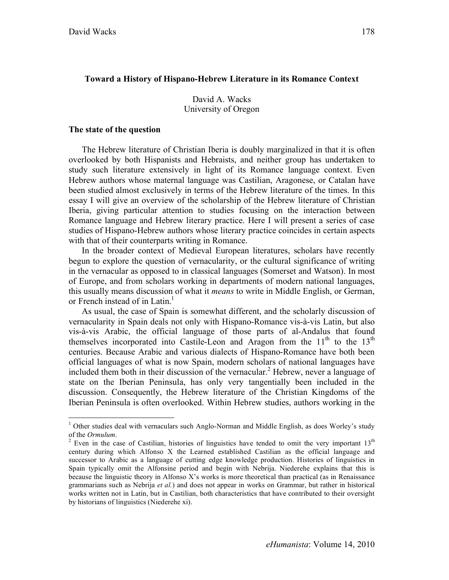### **Toward a History of Hispano-Hebrew Literature in its Romance Context**

David A. Wacks University of Oregon

#### **The state of the question**

The Hebrew literature of Christian Iberia is doubly marginalized in that it is often overlooked by both Hispanists and Hebraists, and neither group has undertaken to study such literature extensively in light of its Romance language context. Even Hebrew authors whose maternal language was Castilian, Aragonese, or Catalan have been studied almost exclusively in terms of the Hebrew literature of the times. In this essay I will give an overview of the scholarship of the Hebrew literature of Christian Iberia, giving particular attention to studies focusing on the interaction between Romance language and Hebrew literary practice. Here I will present a series of case studies of Hispano-Hebrew authors whose literary practice coincides in certain aspects with that of their counterparts writing in Romance.

In the broader context of Medieval European literatures, scholars have recently begun to explore the question of vernacularity, or the cultural significance of writing in the vernacular as opposed to in classical languages (Somerset and Watson). In most of Europe, and from scholars working in departments of modern national languages, this usually means discussion of what it *means* to write in Middle English, or German, or French instead of in Latin.<sup>1</sup>

As usual, the case of Spain is somewhat different, and the scholarly discussion of vernacularity in Spain deals not only with Hispano-Romance vis-à-vis Latin, but also vis-à-vis Arabic, the official language of those parts of al-Andalus that found themselves incorporated into Castile-Leon and Aragon from the  $11<sup>th</sup>$  to the  $13<sup>th</sup>$ centuries. Because Arabic and various dialects of Hispano-Romance have both been official languages of what is now Spain, modern scholars of national languages have included them both in their discussion of the vernacular.<sup>2</sup> Hebrew, never a language of state on the Iberian Peninsula, has only very tangentially been included in the discussion. Consequently, the Hebrew literature of the Christian Kingdoms of the Iberian Peninsula is often overlooked. Within Hebrew studies, authors working in the

<sup>&</sup>lt;sup>1</sup> Other studies deal with vernaculars such Anglo-Norman and Middle English, as does Worley's study of the *Ormulum*.

<sup>&</sup>lt;sup>2</sup> Even in the case of Castilian, histories of linguistics have tended to omit the very important  $13<sup>th</sup>$ century during which Alfonso X the Learned established Castilian as the official language and successor to Arabic as a language of cutting edge knowledge production. Histories of linguistics in Spain typically omit the Alfonsine period and begin with Nebrija. Niederehe explains that this is because the linguistic theory in Alfonso X's works is more theoretical than practical (as in Renaissance grammarians such as Nebrija *et al.*) and does not appear in works on Grammar, but rather in historical works written not in Latin, but in Castilian, both characteristics that have contributed to their oversight by historians of linguistics (Niederehe xi).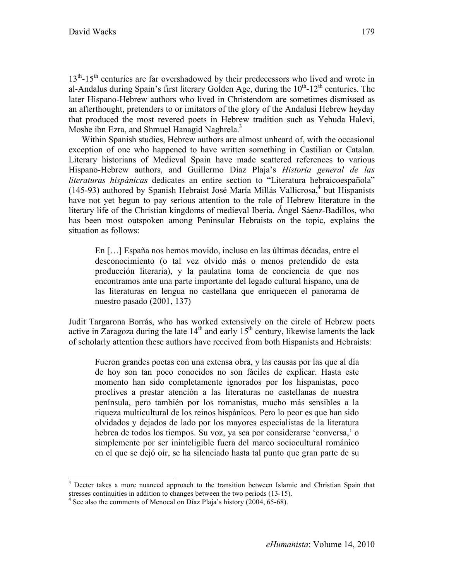13<sup>th</sup>-15<sup>th</sup> centuries are far overshadowed by their predecessors who lived and wrote in al-Andalus during Spain's first literary Golden Age, during the  $10<sup>th</sup>$ -12<sup>th</sup> centuries. The later Hispano-Hebrew authors who lived in Christendom are sometimes dismissed as an afterthought, pretenders to or imitators of the glory of the Andalusi Hebrew heyday that produced the most revered poets in Hebrew tradition such as Yehuda Halevi, Moshe ibn Ezra, and Shmuel Hanagid Naghrela.<sup>3</sup>

Within Spanish studies, Hebrew authors are almost unheard of, with the occasional exception of one who happened to have written something in Castilian or Catalan. Literary historians of Medieval Spain have made scattered references to various Hispano-Hebrew authors, and Guillermo Díaz Plaja's *Historia general de las literaturas hispánicas* dedicates an entire section to "Literatura hebraicoespañola"  $(145-93)$  authored by Spanish Hebraist José María Millás Vallicrosa,<sup>4</sup> but Hispanists have not yet begun to pay serious attention to the role of Hebrew literature in the literary life of the Christian kingdoms of medieval Iberia. Ángel Sáenz-Badillos, who has been most outspoken among Peninsular Hebraists on the topic, explains the situation as follows:

En […] España nos hemos movido, incluso en las últimas décadas, entre el desconocimiento (o tal vez olvido más o menos pretendido de esta producción literaria), y la paulatina toma de conciencia de que nos encontramos ante una parte importante del legado cultural hispano, una de las literaturas en lengua no castellana que enriquecen el panorama de nuestro pasado (2001, 137)

Judit Targarona Borrás, who has worked extensively on the circle of Hebrew poets active in Zaragoza during the late  $14<sup>th</sup>$  and early  $15<sup>th</sup>$  century, likewise laments the lack of scholarly attention these authors have received from both Hispanists and Hebraists:

Fueron grandes poetas con una extensa obra, y las causas por las que al día de hoy son tan poco conocidos no son fáciles de explicar. Hasta este momento han sido completamente ignorados por los hispanistas, poco proclives a prestar atención a las literaturas no castellanas de nuestra península, pero también por los romanistas, mucho más sensibles a la riqueza multicultural de los reinos hispánicos. Pero lo peor es que han sido olvidados y dejados de lado por los mayores especialistas de la literatura hebrea de todos los tiempos. Su voz, ya sea por considerarse 'conversa,' o simplemente por ser ininteligible fuera del marco sociocultural románico en el que se dejó oír, se ha silenciado hasta tal punto que gran parte de su

<sup>&</sup>lt;sup>2</sup><br>3 <sup>3</sup> Decter takes a more nuanced approach to the transition between Islamic and Christian Spain that stresses continuities in addition to changes between the two periods (13-15).

 $4$  See also the comments of Menocal on Díaz Plaja's history (2004, 65-68).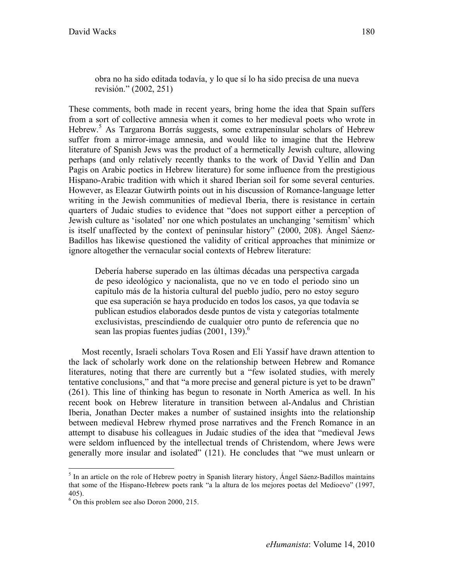obra no ha sido editada todavía, y lo que sí lo ha sido precisa de una nueva revisión." (2002, 251)

These comments, both made in recent years, bring home the idea that Spain suffers from a sort of collective amnesia when it comes to her medieval poets who wrote in Hebrew.<sup>5</sup> As Targarona Borrás suggests, some extrapeninsular scholars of Hebrew suffer from a mirror-image amnesia, and would like to imagine that the Hebrew literature of Spanish Jews was the product of a hermetically Jewish culture, allowing perhaps (and only relatively recently thanks to the work of David Yellin and Dan Pagis on Arabic poetics in Hebrew literature) for some influence from the prestigious Hispano-Arabic tradition with which it shared Iberian soil for some several centuries. However, as Eleazar Gutwirth points out in his discussion of Romance-language letter writing in the Jewish communities of medieval Iberia, there is resistance in certain quarters of Judaic studies to evidence that "does not support either a perception of Jewish culture as 'isolated' nor one which postulates an unchanging 'semitism' which is itself unaffected by the context of peninsular history" (2000, 208). Ángel Sáenz-Badillos has likewise questioned the validity of critical approaches that minimize or ignore altogether the vernacular social contexts of Hebrew literature:

Debería haberse superado en las últimas décadas una perspectiva cargada de peso ideológico y nacionalista, que no ve en todo el periodo sino un capítulo más de la historia cultural del pueblo judío, pero no estoy seguro que esa superación se haya producido en todos los casos, ya que todavía se publican estudios elaborados desde puntos de vista y categorías totalmente exclusivistas, prescindiendo de cualquier otro punto de referencia que no sean las propias fuentes judías  $(2001, 139)$ .<sup>6</sup>

Most recently, Israeli scholars Tova Rosen and Eli Yassif have drawn attention to the lack of scholarly work done on the relationship between Hebrew and Romance literatures, noting that there are currently but a "few isolated studies, with merely tentative conclusions," and that "a more precise and general picture is yet to be drawn" (261). This line of thinking has begun to resonate in North America as well. In his recent book on Hebrew literature in transition between al-Andalus and Christian Iberia, Jonathan Decter makes a number of sustained insights into the relationship between medieval Hebrew rhymed prose narratives and the French Romance in an attempt to disabuse his colleagues in Judaic studies of the idea that "medieval Jews were seldom influenced by the intellectual trends of Christendom, where Jews were generally more insular and isolated" (121). He concludes that "we must unlearn or

 $\frac{1}{5}$  $<sup>5</sup>$  In an article on the role of Hebrew poetry in Spanish literary history, Angel Sáenz-Badillos maintains</sup> that some of the Hispano-Hebrew poets rank "a la altura de los mejores poetas del Medioevo" (1997, 405).

<sup>&</sup>lt;sup>6</sup> On this problem see also Doron 2000, 215.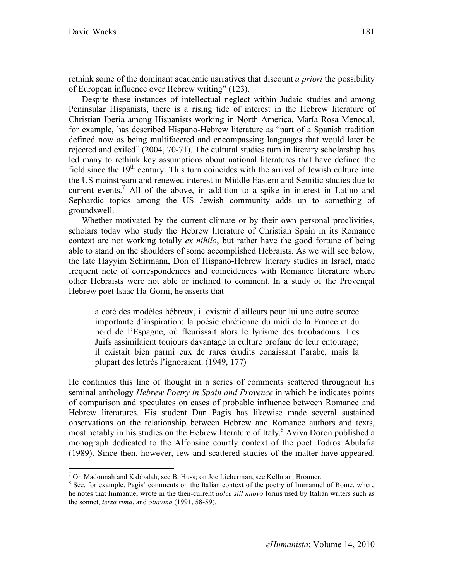rethink some of the dominant academic narratives that discount *a priori* the possibility of European influence over Hebrew writing" (123).

Despite these instances of intellectual neglect within Judaic studies and among Peninsular Hispanists, there is a rising tide of interest in the Hebrew literature of Christian Iberia among Hispanists working in North America. María Rosa Menocal, for example, has described Hispano-Hebrew literature as "part of a Spanish tradition defined now as being multifaceted and encompassing languages that would later be rejected and exiled" (2004, 70-71). The cultural studies turn in literary scholarship has led many to rethink key assumptions about national literatures that have defined the field since the  $19<sup>th</sup>$  century. This turn coincides with the arrival of Jewish culture into the US mainstream and renewed interest in Middle Eastern and Semitic studies due to current events.<sup>7</sup> All of the above, in addition to a spike in interest in Latino and Sephardic topics among the US Jewish community adds up to something of groundswell.

Whether motivated by the current climate or by their own personal proclivities, scholars today who study the Hebrew literature of Christian Spain in its Romance context are not working totally *ex nihilo*, but rather have the good fortune of being able to stand on the shoulders of some accomplished Hebraists. As we will see below, the late Hayyim Schirmann, Don of Hispano-Hebrew literary studies in Israel, made frequent note of correspondences and coincidences with Romance literature where other Hebraists were not able or inclined to comment. In a study of the Provençal Hebrew poet Isaac Ha-Gorni, he asserts that

a coté des modèles hébreux, il existait d'ailleurs pour lui une autre source importante d'inspiration: la poésie chrétienne du midi de la France et du nord de l'Espagne, où fleurissait alors le lyrisme des troubadours. Les Juifs assimilaient toujours davantage la culture profane de leur entourage; il existait bien parmi eux de rares érudits conaissant l'arabe, mais la plupart des lettrés l'ignoraient. (1949, 177)

He continues this line of thought in a series of comments scattered throughout his seminal anthology *Hebrew Poetry in Spain and Provence* in which he indicates points of comparison and speculates on cases of probable influence between Romance and Hebrew literatures. His student Dan Pagis has likewise made several sustained observations on the relationship between Hebrew and Romance authors and texts, most notably in his studies on the Hebrew literature of Italy.<sup>8</sup> Aviva Doron published a monograph dedicated to the Alfonsine courtly context of the poet Todros Abulafia (1989). Since then, however, few and scattered studies of the matter have appeared.

 $\frac{1}{7}$  $\frac{7}{1}$  On Madonnah and Kabbalah, see B. Huss; on Joe Lieberman, see Kellman; Bronner.

<sup>&</sup>lt;sup>8</sup> See, for example, Pagis' comments on the Italian context of the poetry of Immanuel of Rome, where he notes that Immanuel wrote in the then-current *dolce stil nuovo* forms used by Italian writers such as the sonnet, *terza rima*, and *ottavina* (1991, 58-59).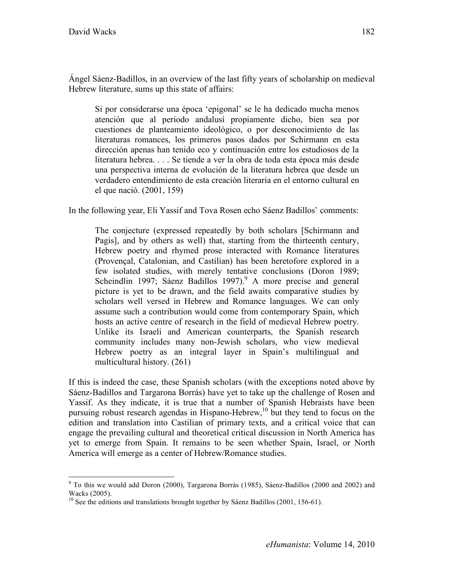Ángel Sáenz-Badillos, in an overview of the last fifty years of scholarship on medieval Hebrew literature, sums up this state of affairs:

Si por considerarse una época 'epigonal' se le ha dedicado mucha menos atención que al periodo andalusí propiamente dicho, bien sea por cuestiones de planteamiento ideológico, o por desconocimiento de las literaturas romances, los primeros pasos dados por Schirmann en esta dirección apenas han tenido eco y continuación entre los estudiosos de la literatura hebrea. . . . Se tiende a ver la obra de toda esta época más desde una perspectiva interna de evolución de la literatura hebrea que desde un verdadero entendimiento de esta creación literaria en el entorno cultural en el que nació. (2001, 159)

In the following year, Eli Yassif and Tova Rosen echo Sáenz Badillos' comments:

The conjecture (expressed repeatedly by both scholars [Schirmann and Pagis], and by others as well) that, starting from the thirteenth century, Hebrew poetry and rhymed prose interacted with Romance literatures (Provençal, Catalonian, and Castilian) has been heretofore explored in a few isolated studies, with merely tentative conclusions (Doron 1989; Scheindlin 1997; Sáenz Badillos 1997).<sup>9</sup> A more precise and general picture is yet to be drawn, and the field awaits comparative studies by scholars well versed in Hebrew and Romance languages. We can only assume such a contribution would come from contemporary Spain, which hosts an active centre of research in the field of medieval Hebrew poetry. Unlike its Israeli and American counterparts, the Spanish research community includes many non-Jewish scholars, who view medieval Hebrew poetry as an integral layer in Spain's multilingual and multicultural history. (261)

If this is indeed the case, these Spanish scholars (with the exceptions noted above by Sáenz-Badillos and Targarona Borrás) have yet to take up the challenge of Rosen and Yassif. As they indicate, it is true that a number of Spanish Hebraists have been pursuing robust research agendas in Hispano-Hebrew,<sup>10</sup> but they tend to focus on the edition and translation into Castilian of primary texts, and a critical voice that can engage the prevailing cultural and theoretical critical discussion in North America has yet to emerge from Spain. It remains to be seen whether Spain, Israel, or North America will emerge as a center of Hebrew/Romance studies.

<sup>-&</sup>lt;br>9 <sup>9</sup> To this we would add Doron (2000), Targarona Borrás (1985), Sáenz-Badillos (2000 and 2002) and Wacks (2005).

<sup>&</sup>lt;sup>10</sup> See the editions and translations brought together by Sáenz Badillos (2001, 156-61).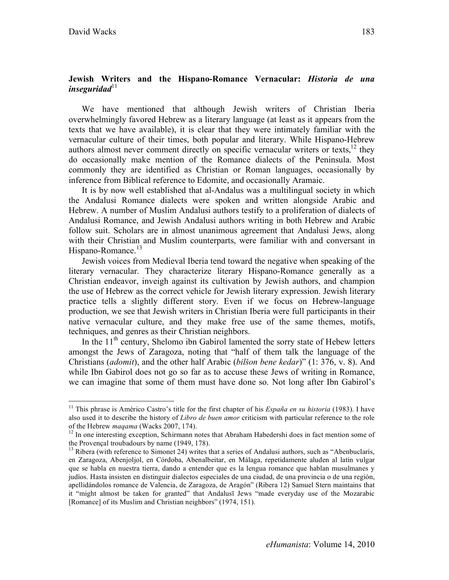## **Jewish Writers and the Hispano-Romance Vernacular:** *Historia de una <i>seguridad*<sup>11</sup>

We have mentioned that although Jewish writers of Christian Iberia overwhelmingly favored Hebrew as a literary language (at least as it appears from the texts that we have available), it is clear that they were intimately familiar with the vernacular culture of their times, both popular and literary. While Hispano-Hebrew authors almost never comment directly on specific vernacular writers or texts,  $12$  they do occasionally make mention of the Romance dialects of the Peninsula. Most commonly they are identified as Christian or Roman languages, occasionally by inference from Biblical reference to Edomite, and occasionally Aramaic.

It is by now well established that al-Andalus was a multilingual society in which the Andalusi Romance dialects were spoken and written alongside Arabic and Hebrew. A number of Muslim Andalusi authors testify to a proliferation of dialects of Andalusi Romance, and Jewish Andalusi authors writing in both Hebrew and Arabic follow suit. Scholars are in almost unanimous agreement that Andalusi Jews, along with their Christian and Muslim counterparts, were familiar with and conversant in Hispano-Romance.<sup>13</sup>

Jewish voices from Medieval Iberia tend toward the negative when speaking of the literary vernacular. They characterize literary Hispano-Romance generally as a Christian endeavor, inveigh against its cultivation by Jewish authors, and champion the use of Hebrew as the correct vehicle for Jewish literary expression. Jewish literary practice tells a slightly different story. Even if we focus on Hebrew-language production, we see that Jewish writers in Christian Iberia were full participants in their native vernacular culture, and they make free use of the same themes, motifs, techniques, and genres as their Christian neighbors.

In the  $11<sup>th</sup>$  century, Shelomo ibn Gabirol lamented the sorry state of Hebew letters amongst the Jews of Zaragoza, noting that "half of them talk the language of the Christians (*adomit*), and the other half Arabic (*bilšon bene kedar*)" (1: 376, v. 8). And while Ibn Gabirol does not go so far as to accuse these Jews of writing in Romance, we can imagine that some of them must have done so. Not long after Ibn Gabirol's

 <sup>11</sup> This phrase is Américo Castro's title for the first chapter of his *España en su historia* (1983). I have also used it to describe the history of *Libro de buen amor* criticism with particular reference to the role of the Hebrew *maqama* (Wacks 2007, 174).<br><sup>12</sup> In one interesting exception, Schirmann notes that Abraham Habedershi does in fact mention some of

the Provençal troubadours by name (1949, 178).

 $13$  Ribera (with reference to Simonet 24) writes that a series of Andalusi authors, such as "Abenbuclarís, en Zaragoza, Abenjoljol, en Córdoba, Abenalbeitar, en Málaga, repetidamente aluden al latín vulgar que se habla en nuestra tierra, dando a entender que es la lengua romance que hablan musulmanes y judíos. Hasta insisten en distinguir dialectos especiales de una ciudad, de una provincia o de una región, apellidándolos romance de Valencia, de Zaragoza, de Aragón" (Ribera 12) Samuel Stern maintains that it "might almost be taken for granted" that Andalusī Jews "made everyday use of the Mozarabic [Romance] of its Muslim and Christian neighbors" (1974, 151).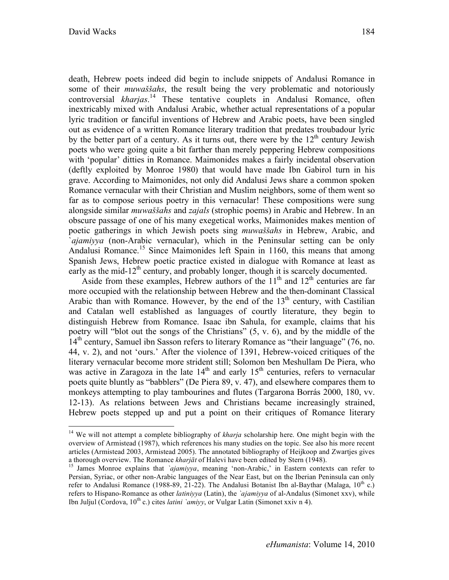death, Hebrew poets indeed did begin to include snippets of Andalusi Romance in some of their *muwaššahs*, the result being the very problematic and notoriously controversial *kharjas*. 14 These tentative couplets in Andalusi Romance, often inextricably mixed with Andalusi Arabic, whether actual representations of a popular lyric tradition or fanciful inventions of Hebrew and Arabic poets, have been singled out as evidence of a written Romance literary tradition that predates troubadour lyric by the better part of a century. As it turns out, there were by the  $12<sup>th</sup>$  century Jewish poets who were going quite a bit farther than merely peppering Hebrew compositions with 'popular' ditties in Romance. Maimonides makes a fairly incidental observation (deftly exploited by Monroe 1980) that would have made Ibn Gabirol turn in his grave. According to Maimonides, not only did Andalusi Jews share a common spoken Romance vernacular with their Christian and Muslim neighbors, some of them went so far as to compose serious poetry in this vernacular! These compositions were sung alongside similar *muwaššahs* and *zajals* (strophic poems) in Arabic and Hebrew. In an obscure passage of one of his many exegetical works, Maimonides makes mention of poetic gatherings in which Jewish poets sing *muwaššahs* in Hebrew, Arabic, and `*ajamiyya* (non-Arabic vernacular), which in the Peninsular setting can be only Andalusi Romance.<sup>15</sup> Since Maimonides left Spain in 1160, this means that among Spanish Jews, Hebrew poetic practice existed in dialogue with Romance at least as early as the mid-12<sup>th</sup> century, and probably longer, though it is scarcely documented.

Aside from these examples, Hebrew authors of the  $11<sup>th</sup>$  and  $12<sup>th</sup>$  centuries are far more occupied with the relationship between Hebrew and the then-dominant Classical Arabic than with Romance. However, by the end of the  $13<sup>th</sup>$  century, with Castilian and Catalan well established as languages of courtly literature, they begin to distinguish Hebrew from Romance. Isaac ibn Sahula, for example, claims that his poetry will "blot out the songs of the Christians" (5, v. 6), and by the middle of the  $14<sup>th</sup>$  century, Samuel ibn Sasson refers to literary Romance as "their language" (76, no. 44, v. 2), and not 'ours.' After the violence of 1391, Hebrew-voiced critiques of the literary vernacular become more strident still; Solomon ben Meshullam De Piera, who was active in Zaragoza in the late  $14<sup>th</sup>$  and early  $15<sup>th</sup>$  centuries, refers to vernacular poets quite bluntly as "babblers" (De Piera 89, v. 47), and elsewhere compares them to monkeys attempting to play tambourines and flutes (Targarona Borrás 2000, 180, vv. 12-13). As relations between Jews and Christians became increasingly strained, Hebrew poets stepped up and put a point on their critiques of Romance literary

 <sup>14</sup> We will not attempt a complete bibliography of *kharja* scholarship here. One might begin with the overview of Armistead (1987), which references his many studies on the topic. See also his more recent articles (Armistead 2003, Armistead 2005). The annotated bibliography of Heijkoop and Zwartjes gives

a thorough overview. The Romance *kharjāt* of Halevi have been edited by Stern (1948). 15 James Monroe explains that *`ajamiyya*, meaning 'non-Arabic,' in Eastern contexts can refer to Persian, Syriac, or other non-Arabic languages of the Near East, but on the Iberian Peninsula can only refer to Andalusi Romance (1988-89, 21-22). The Andalusi Botanist Ibn al-Baythar (Malaga,  $10^{th}$  c.) refers to Hispano-Romance as other *latiniyya* (Latin), the *`ajamiyya* of al-Andalus (Simonet xxv), while Ibn Juljul (Cordova, 10<sup>th</sup> c.) cites *latini `amiyy*, or Vulgar Latin (Simonet xxiv n 4).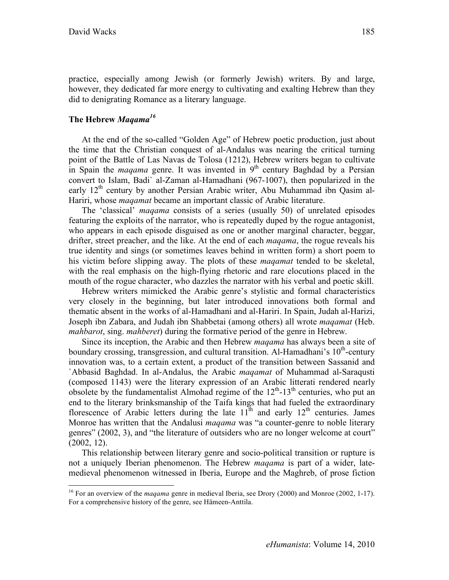practice, especially among Jewish (or formerly Jewish) writers. By and large, however, they dedicated far more energy to cultivating and exalting Hebrew than they did to denigrating Romance as a literary language.

# **The Hebrew** *Maqama16*

At the end of the so-called "Golden Age" of Hebrew poetic production, just about the time that the Christian conquest of al-Andalus was nearing the critical turning point of the Battle of Las Navas de Tolosa (1212), Hebrew writers began to cultivate in Spain the *maqama* genre. It was invented in  $9<sup>th</sup>$  century Baghdad by a Persian convert to Islam, Badi` al-Zaman al-Hamadhani (967-1007), then popularized in the early 12<sup>th</sup> century by another Persian Arabic writer, Abu Muhammad ibn Qasim al-Hariri, whose *maqamat* became an important classic of Arabic literature.

The 'classical' *maqama* consists of a series (usually 50) of unrelated episodes featuring the exploits of the narrator, who is repeatedly duped by the rogue antagonist, who appears in each episode disguised as one or another marginal character, beggar, drifter, street preacher, and the like. At the end of each *maqama*, the rogue reveals his true identity and sings (or sometimes leaves behind in written form) a short poem to his victim before slipping away. The plots of these *maqamat* tended to be skeletal, with the real emphasis on the high-flying rhetoric and rare elocutions placed in the mouth of the rogue character, who dazzles the narrator with his verbal and poetic skill.

Hebrew writers mimicked the Arabic genre's stylistic and formal characteristics very closely in the beginning, but later introduced innovations both formal and thematic absent in the works of al-Hamadhani and al-Hariri. In Spain, Judah al-Harizi, Joseph ibn Zabara, and Judah ibn Shabbetai (among others) all wrote *maqamat* (Heb. *mahbarot*, sing. *mahberet*) during the formative period of the genre in Hebrew.

Since its inception, the Arabic and then Hebrew *maqama* has always been a site of boundary crossing, transgression, and cultural transition. Al-Hamadhani's  $10<sup>th</sup>$ -century innovation was, to a certain extent, a product of the transition between Sassanid and `Abbasid Baghdad. In al-Andalus, the Arabic *maqamat* of Muhammad al-Saraqusti (composed 1143) were the literary expression of an Arabic litterati rendered nearly obsolete by the fundamentalist Almohad regime of the  $12<sup>th</sup>$ -13<sup>th</sup> centuries, who put an end to the literary brinksmanship of the Taifa kings that had fueled the extraordinary florescence of Arabic letters during the late  $11<sup>th</sup>$  and early  $12<sup>th</sup>$  centuries. James Monroe has written that the Andalusi *maqama* was "a counter-genre to noble literary genres" (2002, 3), and "the literature of outsiders who are no longer welcome at court" (2002, 12).

This relationship between literary genre and socio-political transition or rupture is not a uniquely Iberian phenomenon. The Hebrew *maqama* is part of a wider, latemedieval phenomenon witnessed in Iberia, Europe and the Maghreb, of prose fiction

 <sup>16</sup> For an overview of the *maqama* genre in medieval Iberia, see Drory (2000) and Monroe (2002, 1-17). For a comprehensive history of the genre, see Hämeen-Anttila.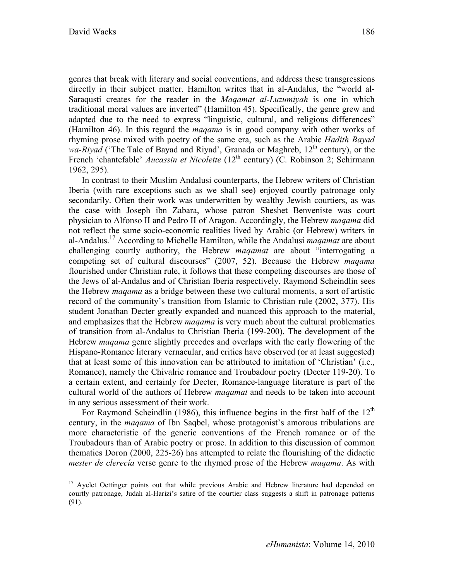genres that break with literary and social conventions, and address these transgressions directly in their subject matter. Hamilton writes that in al-Andalus, the "world al-Saraqusti creates for the reader in the *Maqamat al-Luzumiyah* is one in which traditional moral values are inverted" (Hamilton 45). Specifically, the genre grew and adapted due to the need to express "linguistic, cultural, and religious differences" (Hamilton 46). In this regard the *maqama* is in good company with other works of rhyming prose mixed with poetry of the same era, such as the Arabic *Hadith Bayad wa-Riyad* ('The Tale of Bayad and Riyad', Granada or Maghreb, 12<sup>th</sup> century), or the French 'chantefable' *Aucassin et Nicolette* (12<sup>th</sup> century) (C. Robinson 2; Schirmann 1962, 295).

In contrast to their Muslim Andalusi counterparts, the Hebrew writers of Christian Iberia (with rare exceptions such as we shall see) enjoyed courtly patronage only secondarily. Often their work was underwritten by wealthy Jewish courtiers, as was the case with Joseph ibn Zabara, whose patron Sheshet Benveniste was court physician to Alfonso II and Pedro II of Aragon. Accordingly, the Hebrew *maqama* did not reflect the same socio-economic realities lived by Arabic (or Hebrew) writers in al-Andalus.17 According to Michelle Hamilton, while the Andalusi *maqamat* are about challenging courtly authority, the Hebrew *maqamat* are about "interrogating a competing set of cultural discourses" (2007, 52). Because the Hebrew *maqama*  flourished under Christian rule, it follows that these competing discourses are those of the Jews of al-Andalus and of Christian Iberia respectively. Raymond Scheindlin sees the Hebrew *maqama* as a bridge between these two cultural moments, a sort of artistic record of the community's transition from Islamic to Christian rule (2002, 377). His student Jonathan Decter greatly expanded and nuanced this approach to the material, and emphasizes that the Hebrew *maqama* is very much about the cultural problematics of transition from al-Andalus to Christian Iberia (199-200). The development of the Hebrew *maqama* genre slightly precedes and overlaps with the early flowering of the Hispano-Romance literary vernacular, and critics have observed (or at least suggested) that at least some of this innovation can be attributed to imitation of 'Christian' (i.e., Romance), namely the Chivalric romance and Troubadour poetry (Decter 119-20). To a certain extent, and certainly for Decter, Romance-language literature is part of the cultural world of the authors of Hebrew *maqamat* and needs to be taken into account in any serious assessment of their work.

For Raymond Scheindlin (1986), this influence begins in the first half of the  $12<sup>th</sup>$ century, in the *maqama* of Ibn Saqbel, whose protagonist's amorous tribulations are more characteristic of the generic conventions of the French romance or of the Troubadours than of Arabic poetry or prose. In addition to this discussion of common thematics Doron (2000, 225-26) has attempted to relate the flourishing of the didactic *mester de clerecía* verse genre to the rhymed prose of the Hebrew *maqama*. As with

<sup>&</sup>lt;sup>17</sup> Ayelet Oettinger points out that while previous Arabic and Hebrew literature had depended on courtly patronage, Judah al-Harizi's satire of the courtier class suggests a shift in patronage patterns (91).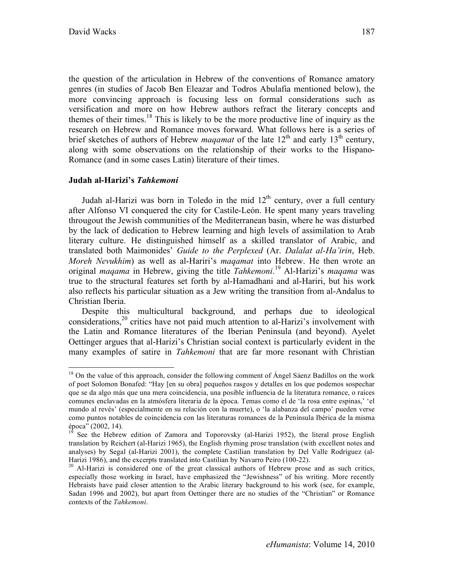the question of the articulation in Hebrew of the conventions of Romance amatory genres (in studies of Jacob Ben Eleazar and Todros Abulafia mentioned below), the more convincing approach is focusing less on formal considerations such as versification and more on how Hebrew authors refract the literary concepts and themes of their times.<sup>18</sup> This is likely to be the more productive line of inquiry as the research on Hebrew and Romance moves forward. What follows here is a series of brief sketches of authors of Hebrew *magamat* of the late  $12<sup>th</sup>$  and early  $13<sup>th</sup>$  century, along with some observations on the relationship of their works to the Hispano-Romance (and in some cases Latin) literature of their times.

## **Judah al-Harizi's** *Tahkemoni*

Judah al-Harizi was born in Toledo in the mid  $12<sup>th</sup>$  century, over a full century after Alfonso VI conquered the city for Castile-León. He spent many years traveling througout the Jewish communities of the Mediterranean basin, where he was disturbed by the lack of dedication to Hebrew learning and high levels of assimilation to Arab literary culture. He distinguished himself as a skilled translator of Arabic, and translated both Maimonides' *Guide to the Perplexed* (Ar. *Dalalat al-Ha'irin*, Heb. *Moreh Nevukhim*) as well as al-Hariri's *maqamat* into Hebrew. He then wrote an original *maqama* in Hebrew, giving the title *Tahkemoni*. 19 Al-Harizi's *maqama* was true to the structural features set forth by al-Hamadhani and al-Hariri, but his work also reflects his particular situation as a Jew writing the transition from al-Andalus to Christian Iberia.

Despite this multicultural background, and perhaps due to ideological considerations,<sup>20</sup> critics have not paid much attention to al-Harizi's involvement with the Latin and Romance literatures of the Iberian Peninsula (and beyond). Ayelet Oettinger argues that al-Harizi's Christian social context is particularly evident in the many examples of satire in *Tahkemoni* that are far more resonant with Christian

<sup>&</sup>lt;sup>18</sup> On the value of this approach, consider the following comment of Ángel Sáenz Badillos on the work of poet Solomon Bonafed: "Hay [en su obra] pequeños rasgos y detalles en los que podemos sospechar que se da algo más que una mera coincidencia, una posible influencia de la literatura romance, o raíces comunes enclavadas en la atmósfera literaria de la época. Temas como el de 'la rosa entre espinas,' 'el mundo al revés' (especialmente en su relación con la muerte), o 'la alabanza del campo' pueden verse como puntos notables de coincidencia con las literaturas romances de la Península Ibérica de la misma época" (2002, 14).<br><sup>19</sup> See the Hebrew edition of Zamora and Toporovsky (al-Harizi 1952), the literal prose English

translation by Reichert (al-Harizi 1965), the English rhyming prose translation (with excellent notes and analyses) by Segal (al-Harizi 2001), the complete Castilian translation by Del Valle Rodríguez (al-Harizi 1986), and the excerpts translated into Castilian by Navarro Peiro (100-22).<br><sup>20</sup> Al-Harizi is considered one of the great classical authors of Hebrew prose and as such critics,

especially those working in Israel, have emphasized the "Jewishness" of his writing. More recently Hebraists have paid closer attention to the Arabic literary background to his work (see, for example, Sadan 1996 and 2002), but apart from Oettinger there are no studies of the "Christian" or Romance contexts of the *Tahkemoni*.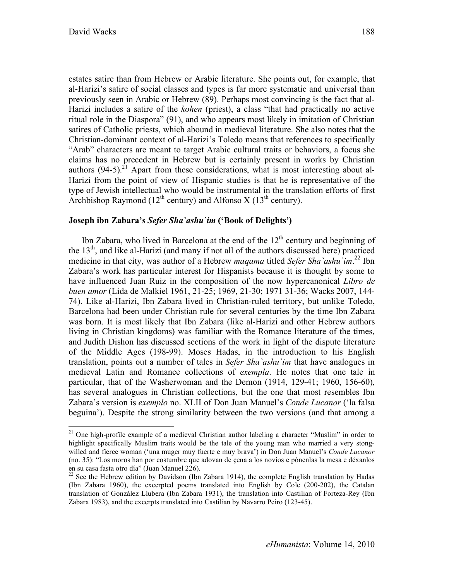estates satire than from Hebrew or Arabic literature. She points out, for example, that al-Harizi's satire of social classes and types is far more systematic and universal than previously seen in Arabic or Hebrew (89). Perhaps most convincing is the fact that al-Harizi includes a satire of the *kohen* (priest), a class "that had practically no active ritual role in the Diaspora" (91), and who appears most likely in imitation of Christian satires of Catholic priests, which abound in medieval literature. She also notes that the Christian-dominant context of al-Harizi's Toledo means that references to specifically "Arab" characters are meant to target Arabic cultural traits or behaviors, a focus she claims has no precedent in Hebrew but is certainly present in works by Christian authors  $(94-5)$ <sup>21</sup> Apart from these considerations, what is most interesting about al-Harizi from the point of view of Hispanic studies is that he is representative of the type of Jewish intellectual who would be instrumental in the translation efforts of first Archbishop Raymond ( $12^{th}$  century) and Alfonso X ( $13^{th}$  century).

## **Joseph ibn Zabara's** *Sefer Sha`ashu`im* **('Book of Delights')**

Ibn Zabara, who lived in Barcelona at the end of the  $12<sup>th</sup>$  century and beginning of the  $13<sup>th</sup>$ , and like al-Harizi (and many if not all of the authors discussed here) practiced medicine in that city, was author of a Hebrew *maqama* titled *Sefer Sha`ashu`im*. 22 Ibn Zabara's work has particular interest for Hispanists because it is thought by some to have influenced Juan Ruiz in the composition of the now hypercanonical *Libro de buen amor* (Lida de Malkiel 1961, 21-25; 1969, 21-30; 1971 31-36; Wacks 2007, 144- 74). Like al-Harizi, Ibn Zabara lived in Christian-ruled territory, but unlike Toledo, Barcelona had been under Christian rule for several centuries by the time Ibn Zabara was born. It is most likely that Ibn Zabara (like al-Harizi and other Hebrew authors living in Christian kingdoms) was familiar with the Romance literature of the times, and Judith Dishon has discussed sections of the work in light of the dispute literature of the Middle Ages (198-99). Moses Hadas, in the introduction to his English translation, points out a number of tales in *Sefer Sha`ashu`im* that have analogues in medieval Latin and Romance collections of *exempla*. He notes that one tale in particular, that of the Washerwoman and the Demon (1914, 129-41; 1960, 156-60), has several analogues in Christian collections, but the one that most resembles Ibn Zabara's version is *exemplo* no. XLII of Don Juan Manuel's *Conde Lucanor* ('la falsa beguina'). Despite the strong similarity between the two versions (and that among a

<sup>&</sup>lt;sup>21</sup> One high-profile example of a medieval Christian author labeling a character "Muslim" in order to highlight specifically Muslim traits would be the tale of the young man who married a very stongwilled and fierce woman ('una muger muy fuerte e muy brava') in Don Juan Manuel's *Conde Lucanor* (no. 35): "Los moros han por costumbre que adovan de çena a los novios e pónenlas la mesa e déxanlos en su casa fasta otro día" (Juan Manuel 226).<br><sup>22</sup> See the Hebrew edition by Davidson (Ibn Zabara 1914), the complete English translation by Hadas

<sup>(</sup>Ibn Zabara 1960), the excerpted poems translated into English by Cole (200-202), the Catalan translation of González Llubera (Ibn Zabara 1931), the translation into Castilian of Forteza-Rey (Ibn Zabara 1983), and the excerpts translated into Castilian by Navarro Peiro (123-45).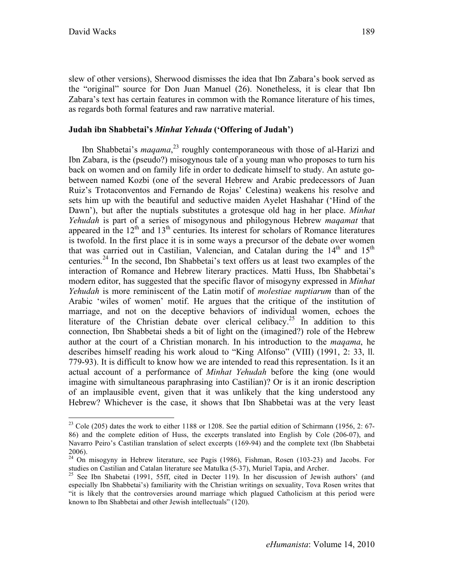slew of other versions), Sherwood dismisses the idea that Ibn Zabara's book served as the "original" source for Don Juan Manuel (26). Nonetheless, it is clear that Ibn Zabara's text has certain features in common with the Romance literature of his times, as regards both formal features and raw narrative material.

## **Judah ibn Shabbetai's** *Minhat Yehuda* **('Offering of Judah')**

Ibn Shabbetai's *maqama*, 23 roughly contemporaneous with those of al-Harizi and Ibn Zabara, is the (pseudo?) misogynous tale of a young man who proposes to turn his back on women and on family life in order to dedicate himself to study. An astute gobetween named Kozbi (one of the several Hebrew and Arabic predecessors of Juan Ruiz's Trotaconventos and Fernando de Rojas' Celestina) weakens his resolve and sets him up with the beautiful and seductive maiden Ayelet Hashahar ('Hind of the Dawn'), but after the nuptials substitutes a grotesque old hag in her place. *Minhat Yehudah* is part of a series of misogynous and philogynous Hebrew *maqamat* that appeared in the  $12<sup>th</sup>$  and  $13<sup>th</sup>$  centuries. Its interest for scholars of Romance literatures is twofold. In the first place it is in some ways a precursor of the debate over women that was carried out in Castilian, Valencian, and Catalan during the  $14<sup>th</sup>$  and  $15<sup>th</sup>$ centuries.<sup>24</sup> In the second, Ibn Shabbetai's text offers us at least two examples of the interaction of Romance and Hebrew literary practices. Matti Huss, Ibn Shabbetai's modern editor, has suggested that the specific flavor of misogyny expressed in *Minhat Yehudah* is more reminiscent of the Latin motif of *molestiae nuptiarum* than of the Arabic 'wiles of women' motif. He argues that the critique of the institution of marriage, and not on the deceptive behaviors of individual women, echoes the literature of the Christian debate over clerical celibacy.<sup>25</sup> In addition to this connection, Ibn Shabbetai sheds a bit of light on the (imagined?) role of the Hebrew author at the court of a Christian monarch. In his introduction to the *maqama*, he describes himself reading his work aloud to "King Alfonso" (VIII) (1991, 2: 33, ll. 779-93). It is difficult to know how we are intended to read this representation. Is it an actual account of a performance of *Minhat Yehudah* before the king (one would imagine with simultaneous paraphrasing into Castilian)? Or is it an ironic description of an implausible event, given that it was unlikely that the king understood any Hebrew? Whichever is the case, it shows that Ibn Shabbetai was at the very least

 $23$  Cole (205) dates the work to either 1188 or 1208. See the partial edition of Schirmann (1956, 2: 67-86) and the complete edition of Huss, the excerpts translated into English by Cole (206-07), and Navarro Peiro's Castilian translation of select excerpts (169-94) and the complete text (Ibn Shabbetai 2006).

<sup>&</sup>lt;sup>24</sup> On misogyny in Hebrew literature, see Pagis (1986), Fishman, Rosen (103-23) and Jacobs. For studies on Castilian and Catalan literature see Matulka (5-37), Muriel Tapia, and Archer.<br><sup>25</sup> See Ibn Shabetai (1991, 55ff, cited in Decter 119). In her discussion of Jewish authors' (and

especially Ibn Shabbetai's) familiarity with the Christian writings on sexuality, Tova Rosen writes that "it is likely that the controversies around marriage which plagued Catholicism at this period were known to Ibn Shabbetai and other Jewish intellectuals" (120).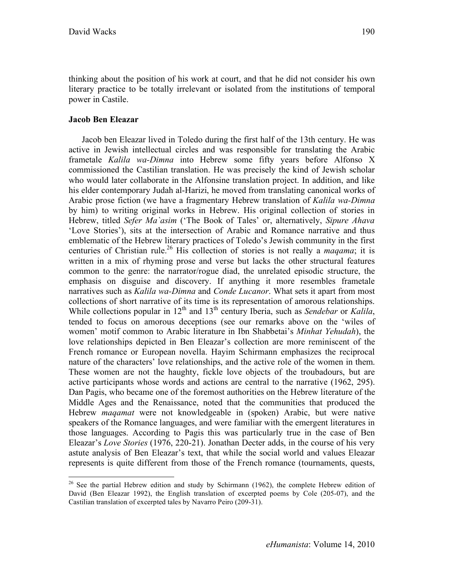thinking about the position of his work at court, and that he did not consider his own literary practice to be totally irrelevant or isolated from the institutions of temporal power in Castile.

## **Jacob Ben Eleazar**

Jacob ben Eleazar lived in Toledo during the first half of the 13th century. He was active in Jewish intellectual circles and was responsible for translating the Arabic frametale *Kalila wa-Dimna* into Hebrew some fifty years before Alfonso X commissioned the Castilian translation. He was precisely the kind of Jewish scholar who would later collaborate in the Alfonsine translation project. In addition, and like his elder contemporary Judah al-Harizi, he moved from translating canonical works of Arabic prose fiction (we have a fragmentary Hebrew translation of *Kalila wa-Dimna* by him) to writing original works in Hebrew. His original collection of stories in Hebrew, titled *Sefer Ma`asim* ('The Book of Tales' or, alternatively, *Sipure Ahava* 'Love Stories'), sits at the intersection of Arabic and Romance narrative and thus emblematic of the Hebrew literary practices of Toledo's Jewish community in the first centuries of Christian rule.<sup>26</sup> His collection of stories is not really a *magama*; it is written in a mix of rhyming prose and verse but lacks the other structural features common to the genre: the narrator/rogue diad, the unrelated episodic structure, the emphasis on disguise and discovery. If anything it more resembles frametale narratives such as *Kalila wa-Dimna* and *Conde Lucanor*. What sets it apart from most collections of short narrative of its time is its representation of amorous relationships. While collections popular in 12<sup>th</sup> and 13<sup>th</sup> century Iberia, such as *Sendebar* or *Kalila*, tended to focus on amorous deceptions (see our remarks above on the 'wiles of women' motif common to Arabic literature in Ibn Shabbetai's *Minhat Yehudah*), the love relationships depicted in Ben Eleazar's collection are more reminiscent of the French romance or European novella. Hayim Schirmann emphasizes the reciprocal nature of the characters' love relationships, and the active role of the women in them. These women are not the haughty, fickle love objects of the troubadours, but are active participants whose words and actions are central to the narrative (1962, 295). Dan Pagis, who became one of the foremost authorities on the Hebrew literature of the Middle Ages and the Renaissance, noted that the communities that produced the Hebrew *maqamat* were not knowledgeable in (spoken) Arabic, but were native speakers of the Romance languages, and were familiar with the emergent literatures in those languages. According to Pagis this was particularly true in the case of Ben Eleazar's *Love Stories* (1976, 220-21). Jonathan Decter adds, in the course of his very astute analysis of Ben Eleazar's text, that while the social world and values Eleazar represents is quite different from those of the French romance (tournaments, quests,

<sup>&</sup>lt;sup>26</sup> See the partial Hebrew edition and study by Schirmann (1962), the complete Hebrew edition of David (Ben Eleazar 1992), the English translation of excerpted poems by Cole (205-07), and the Castilian translation of excerpted tales by Navarro Peiro (209-31).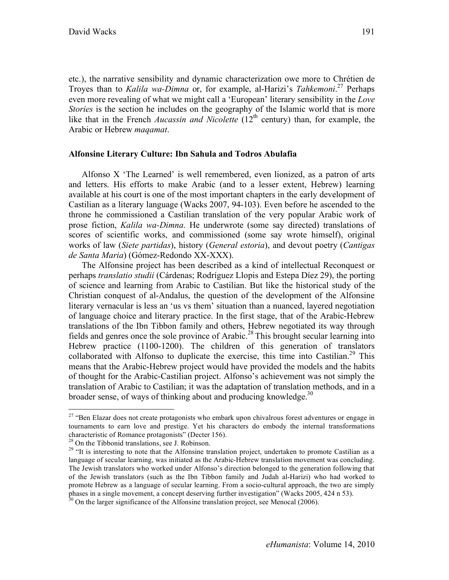etc.), the narrative sensibility and dynamic characterization owe more to Chrétien de Troyes than to *Kalila wa-Dimna* or, for example, al-Harizi's *Tahkemoni*. 27 Perhaps even more revealing of what we might call a 'European' literary sensibility in the *Love Stories* is the section he includes on the geography of the Islamic world that is more like that in the French *Aucassin and Nicolette*  $(12<sup>th</sup>$  century) than, for example, the Arabic or Hebrew *maqamat*.

#### **Alfonsine Literary Culture: Ibn Sahula and Todros Abulafia**

Alfonso X 'The Learned' is well remembered, even lionized, as a patron of arts and letters. His efforts to make Arabic (and to a lesser extent, Hebrew) learning available at his court is one of the most important chapters in the early development of Castilian as a literary language (Wacks 2007, 94-103). Even before he ascended to the throne he commissioned a Castilian translation of the very popular Arabic work of prose fiction, *Kalila wa-Dimna*. He underwrote (some say directed) translations of scores of scientific works, and commissioned (some say wrote himself), original works of law (*Siete partidas*), history (*General estoria*), and devout poetry (*Cantigas de Santa Maria*) (Gómez-Redondo XX-XXX).

The Alfonsine project has been described as a kind of intellectual Reconquest or perhaps *translatio studii* (Cárdenas; Rodríguez Llopis and Estepa Díez 29), the porting of science and learning from Arabic to Castilian. But like the historical study of the Christian conquest of al-Andalus, the question of the development of the Alfonsine literary vernacular is less an 'us vs them' situation than a nuanced, layered negotiation of language choice and literary practice. In the first stage, that of the Arabic-Hebrew translations of the Ibn Tibbon family and others, Hebrew negotiated its way through fields and genres once the sole province of Arabic.28 This brought secular learning into Hebrew practice (1100-1200). The children of this generation of translators collaborated with Alfonso to duplicate the exercise, this time into Castilian.<sup>29</sup> This means that the Arabic-Hebrew project would have provided the models and the habits of thought for the Arabic-Castilian project. Alfonso's achievement was not simply the translation of Arabic to Castilian; it was the adaptation of translation methods, and in a broader sense, of ways of thinking about and producing knowledge.<sup>30</sup>

<sup>&</sup>lt;sup>27</sup> "Ben Elazar does not create protagonists who embark upon chivalrous forest adventures or engage in tournaments to earn love and prestige. Yet his characters do embody the internal transformations characteristic of Romance protagonists" (Decter 156). 28 On the Tibbonid translations, see J. Robinson.

<sup>&</sup>lt;sup>29</sup> "It is interesting to note that the Alfonsine translation project, undertaken to promote Castilian as a language of secular learning, was initiated as the Arabic-Hebrew translation movement was concluding. The Jewish translators who worked under Alfonso's direction belonged to the generation following that of the Jewish translators (such as the Ibn Tibbon family and Judah al-Harizi) who had worked to promote Hebrew as a language of secular learning. From a socio-cultural approach, the two are simply phases in a single movement, a concept deserving further investigation" (Wacks 2005, 424 n 53).

 $30$  On the larger significance of the Alfonsine translation project, see Menocal (2006).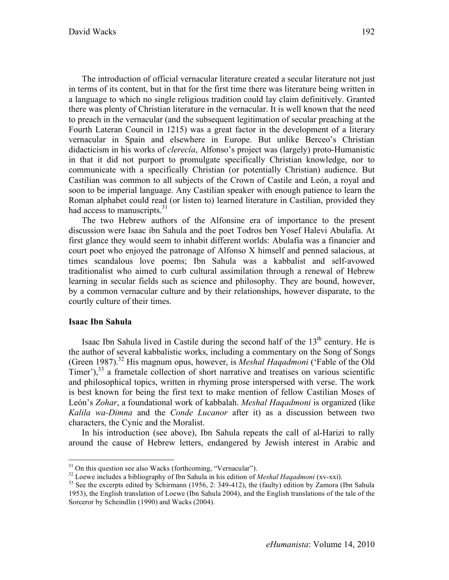The introduction of official vernacular literature created a secular literature not just in terms of its content, but in that for the first time there was literature being written in a language to which no single religious tradition could lay claim definitively. Granted there was plenty of Christian literature in the vernacular. It is well known that the need to preach in the vernacular (and the subsequent legitimation of secular preaching at the Fourth Lateran Council in 1215) was a great factor in the development of a literary vernacular in Spain and elsewhere in Europe. But unlike Berceo's Christian didacticism in his works of *clerecía*, Alfonso's project was (largely) proto-Humanistic in that it did not purport to promulgate specifically Christian knowledge, nor to communicate with a specifically Christian (or potentially Christian) audience. But Castilian was common to all subjects of the Crown of Castile and León, a royal and soon to be imperial language. Any Castilian speaker with enough patience to learn the Roman alphabet could read (or listen to) learned literature in Castilian, provided they had access to manuscripts.<sup>31</sup>

The two Hebrew authors of the Alfonsine era of importance to the present discussion were Isaac ibn Sahula and the poet Todros ben Yosef Halevi Abulafia. At first glance they would seem to inhabit different worlds: Abulafia was a financier and court poet who enjoyed the patronage of Alfonso X himself and penned salacious, at times scandalous love poems; Ibn Sahula was a kabbalist and self-avowed traditionalist who aimed to curb cultural assimilation through a renewal of Hebrew learning in secular fields such as science and philosophy. They are bound, however, by a common vernacular culture and by their relationships, however disparate, to the courtly culture of their times.

#### **Isaac Ibn Sahula**

Isaac Ibn Sahula lived in Castile during the second half of the  $13<sup>th</sup>$  century. He is the author of several kabbalistic works, including a commentary on the Song of Songs (Green 1987). 32 His magnum opus, however, is *Meshal Haqadmoni* ('Fable of the Old Timer'),  $33$  a frametale collection of short narrative and treatises on various scientific and philosophical topics, written in rhyming prose interspersed with verse. The work is best known for being the first text to make mention of fellow Castilian Moses of León's *Zohar*, a foundational work of kabbalah. *Meshal Haqadmoni* is organized (like *Kalila wa-Dimna* and the *Conde Lucanor* after it) as a discussion between two characters, the Cynic and the Moralist.

In his introduction (see above), Ibn Sahula repeats the call of al-Harizi to rally around the cause of Hebrew letters, endangered by Jewish interest in Arabic and

<sup>&</sup>lt;sup>31</sup> On this question see also Wacks (forthcoming, "Vernacular").<br><sup>32</sup> Loewe includes a bibliography of Ibn Sahula in his edition of *Meshal Haqadmoni* (xv-xxi).<br><sup>33</sup> See the excerpts edited by Schirmann (1956, 2: 349-412

<sup>1953),</sup> the English translation of Loewe (Ibn Sahula 2004), and the English translations of the tale of the Sorceror by Scheindlin (1990) and Wacks (2004).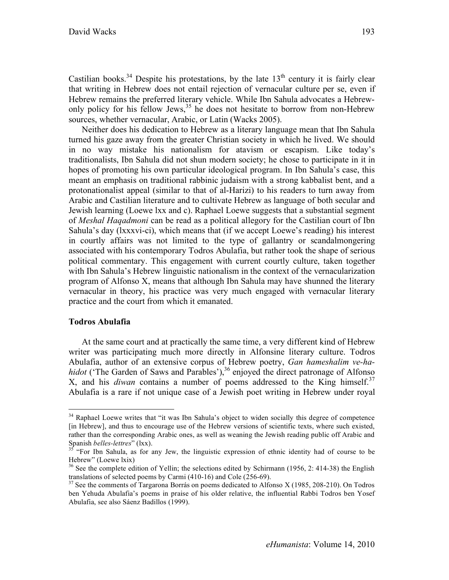Castilian books.<sup>34</sup> Despite his protestations, by the late  $13<sup>th</sup>$  century it is fairly clear that writing in Hebrew does not entail rejection of vernacular culture per se, even if Hebrew remains the preferred literary vehicle. While Ibn Sahula advocates a Hebrewonly policy for his fellow Jews,  $35$  he does not hesitate to borrow from non-Hebrew sources, whether vernacular, Arabic, or Latin (Wacks 2005).

Neither does his dedication to Hebrew as a literary language mean that Ibn Sahula turned his gaze away from the greater Christian society in which he lived. We should in no way mistake his nationalism for atavism or escapism. Like today's traditionalists, Ibn Sahula did not shun modern society; he chose to participate in it in hopes of promoting his own particular ideological program. In Ibn Sahula's case, this meant an emphasis on traditional rabbinic judaism with a strong kabbalist bent, and a protonationalist appeal (similar to that of al-Harizi) to his readers to turn away from Arabic and Castilian literature and to cultivate Hebrew as language of both secular and Jewish learning (Loewe lxx and c). Raphael Loewe suggests that a substantial segment of *Meshal Haqadmoni* can be read as a political allegory for the Castilian court of Ibn Sahula's day (lxxxvi-ci), which means that (if we accept Loewe's reading) his interest in courtly affairs was not limited to the type of gallantry or scandalmongering associated with his contemporary Todros Abulafia, but rather took the shape of serious political commentary. This engagement with current courtly culture, taken together with Ibn Sahula's Hebrew linguistic nationalism in the context of the vernacularization program of Alfonso X, means that although Ibn Sahula may have shunned the literary vernacular in theory, his practice was very much engaged with vernacular literary practice and the court from which it emanated.

## **Todros Abulafia**

At the same court and at practically the same time, a very different kind of Hebrew writer was participating much more directly in Alfonsine literary culture. Todros Abulafia, author of an extensive corpus of Hebrew poetry, *Gan hameshalim ve-hahidot* ('The Garden of Saws and Parables'),<sup>36</sup> enjoyed the direct patronage of Alfonso X, and his *diwan* contains a number of poems addressed to the King himself.<sup>37</sup> Abulafia is a rare if not unique case of a Jewish poet writing in Hebrew under royal

<sup>&</sup>lt;sup>34</sup> Raphael Loewe writes that "it was Ibn Sahula's object to widen socially this degree of competence [in Hebrew], and thus to encourage use of the Hebrew versions of scientific texts, where such existed, rather than the corresponding Arabic ones, as well as weaning the Jewish reading public off Arabic and

Spanish *belles-lettres*" (lxx).<br><sup>35</sup> "For Ibn Sahula, as for any Jew, the linguistic expression of ethnic identity had of course to be Hebrew" (Loewe lxix)<br><sup>36</sup> See the complete edition of Yellin; the selections edited by Schirmann (1956, 2: 414-38) the English

translations of selected poems by Carmi (410-16) and Cole (256-69).<br><sup>37</sup> See the comments of Targarona Borrás on poems dedicated to Alfonso X (1985, 208-210). On Todros

ben Yehuda Abulafia's poems in praise of his older relative, the influential Rabbi Todros ben Yosef Abulafia, see also Sáenz Badillos (1999).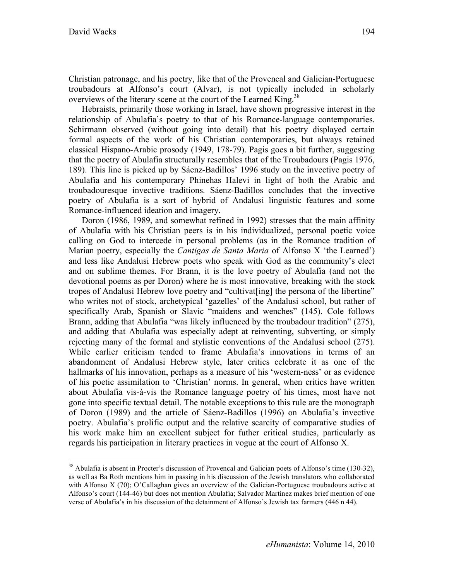Christian patronage, and his poetry, like that of the Provencal and Galician-Portuguese troubadours at Alfonso's court (Alvar), is not typically included in scholarly overviews of the literary scene at the court of the Learned King.<sup>38</sup>

Hebraists, primarily those working in Israel, have shown progressive interest in the relationship of Abulafia's poetry to that of his Romance-language contemporaries. Schirmann observed (without going into detail) that his poetry displayed certain formal aspects of the work of his Christian contemporaries, but always retained classical Hispano-Arabic prosody (1949, 178-79). Pagis goes a bit further, suggesting that the poetry of Abulafia structurally resembles that of the Troubadours (Pagis 1976, 189). This line is picked up by Sáenz-Badillos' 1996 study on the invective poetry of Abulafia and his contemporary Phinehas Halevi in light of both the Arabic and troubadouresque invective traditions. Sáenz-Badillos concludes that the invective poetry of Abulafia is a sort of hybrid of Andalusi linguistic features and some Romance-influenced ideation and imagery.

Doron (1986, 1989, and somewhat refined in 1992) stresses that the main affinity of Abulafia with his Christian peers is in his individualized, personal poetic voice calling on God to intercede in personal problems (as in the Romance tradition of Marian poetry, especially the *Cantigas de Santa Maria* of Alfonso X 'the Learned') and less like Andalusi Hebrew poets who speak with God as the community's elect and on sublime themes. For Brann, it is the love poetry of Abulafia (and not the devotional poems as per Doron) where he is most innovative, breaking with the stock tropes of Andalusi Hebrew love poetry and "cultivat[ing] the persona of the libertine" who writes not of stock, archetypical 'gazelles' of the Andalusi school, but rather of specifically Arab, Spanish or Slavic "maidens and wenches" (145). Cole follows Brann, adding that Abulafia "was likely influenced by the troubadour tradition" (275), and adding that Abulafia was especially adept at reinventing, subverting, or simply rejecting many of the formal and stylistic conventions of the Andalusi school (275). While earlier criticism tended to frame Abulafia's innovations in terms of an abandonment of Andalusi Hebrew style, later critics celebrate it as one of the hallmarks of his innovation, perhaps as a measure of his 'western-ness' or as evidence of his poetic assimilation to 'Christian' norms. In general, when critics have written about Abulafia vis-à-vis the Romance language poetry of his times, most have not gone into specific textual detail. The notable exceptions to this rule are the monograph of Doron (1989) and the article of Sáenz-Badillos (1996) on Abulafia's invective poetry. Abulafia's prolific output and the relative scarcity of comparative studies of his work make him an excellent subject for futher critical studies, particularly as regards his participation in literary practices in vogue at the court of Alfonso X.

<sup>&</sup>lt;sup>38</sup> Abulafia is absent in Procter's discussion of Provencal and Galician poets of Alfonso's time (130-32), as well as Ba Roth mentions him in passing in his discussion of the Jewish translators who collaborated with Alfonso X (70); O'Callaghan gives an overview of the Galician-Portuguese troubadours active at Alfonso's court (144-46) but does not mention Abulafia; Salvador Martínez makes brief mention of one verse of Abulafia's in his discussion of the detainment of Alfonso's Jewish tax farmers (446 n 44).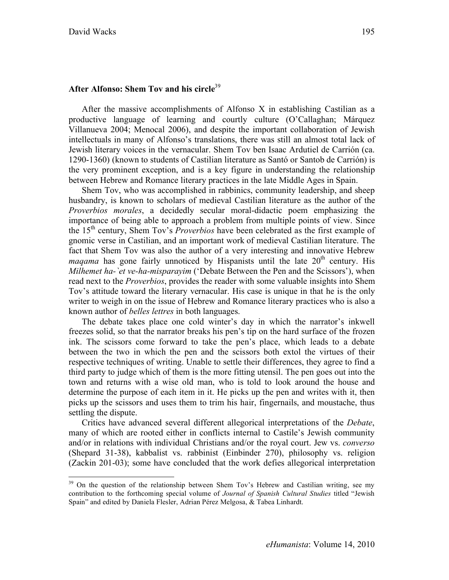## **After Alfonso: Shem Tov and his circle**<sup>39</sup>

After the massive accomplishments of Alfonso X in establishing Castilian as a productive language of learning and courtly culture (O'Callaghan; Márquez Villanueva 2004; Menocal 2006), and despite the important collaboration of Jewish intellectuals in many of Alfonso's translations, there was still an almost total lack of Jewish literary voices in the vernacular. Shem Tov ben Isaac Ardutiel de Carrión (ca. 1290-1360) (known to students of Castilian literature as Santó or Santob de Carrión) is the very prominent exception, and is a key figure in understanding the relationship between Hebrew and Romance literary practices in the late Middle Ages in Spain.

Shem Tov, who was accomplished in rabbinics, community leadership, and sheep husbandry, is known to scholars of medieval Castilian literature as the author of the *Proverbios morales*, a decidedly secular moral-didactic poem emphasizing the importance of being able to approach a problem from multiple points of view. Since the 15th century, Shem Tov's *Proverbios* have been celebrated as the first example of gnomic verse in Castilian, and an important work of medieval Castilian literature. The fact that Shem Tov was also the author of a very interesting and innovative Hebrew *maqama* has gone fairly unnoticed by Hispanists until the late  $20<sup>th</sup>$  century. His *Milhemet ha-`et ve-ha-misparayim* ('Debate Between the Pen and the Scissors'), when read next to the *Proverbios*, provides the reader with some valuable insights into Shem Tov's attitude toward the literary vernacular. His case is unique in that he is the only writer to weigh in on the issue of Hebrew and Romance literary practices who is also a known author of *belles lettres* in both languages.

The debate takes place one cold winter's day in which the narrator's inkwell freezes solid, so that the narrator breaks his pen's tip on the hard surface of the frozen ink. The scissors come forward to take the pen's place, which leads to a debate between the two in which the pen and the scissors both extol the virtues of their respective techniques of writing. Unable to settle their differences, they agree to find a third party to judge which of them is the more fitting utensil. The pen goes out into the town and returns with a wise old man, who is told to look around the house and determine the purpose of each item in it. He picks up the pen and writes with it, then picks up the scissors and uses them to trim his hair, fingernails, and moustache, thus settling the dispute.

Critics have advanced several different allegorical interpretations of the *Debate*, many of which are rooted either in conflicts internal to Castile's Jewish community and/or in relations with individual Christians and/or the royal court. Jew vs. *converso*  (Shepard 31-38), kabbalist vs. rabbinist (Einbinder 270), philosophy vs. religion (Zackin 201-03); some have concluded that the work defies allegorical interpretation

<sup>&</sup>lt;sup>39</sup> On the question of the relationship between Shem Tov's Hebrew and Castilian writing, see my contribution to the forthcoming special volume of *Journal of Spanish Cultural Studies* titled "Jewish Spain" and edited by Daniela Flesler, Adrian Pérez Melgosa, & Tabea Linhardt.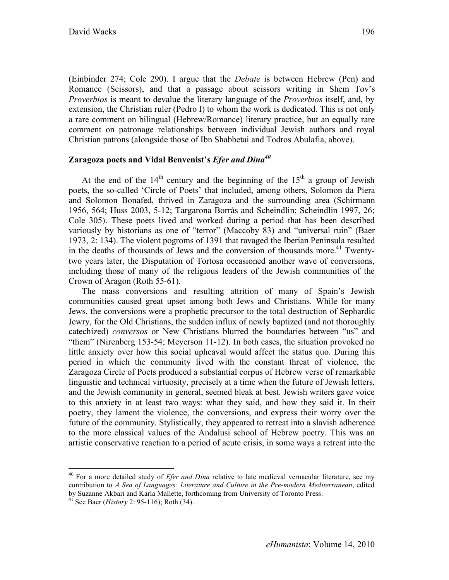(Einbinder 274; Cole 290). I argue that the *Debate* is between Hebrew (Pen) and Romance (Scissors), and that a passage about scissors writing in Shem Tov's *Proverbios* is meant to devalue the literary language of the *Proverbios* itself, and, by extension, the Christian ruler (Pedro I) to whom the work is dedicated. This is not only a rare comment on bilingual (Hebrew/Romance) literary practice, but an equally rare comment on patronage relationships between individual Jewish authors and royal Christian patrons (alongside those of Ibn Shabbetai and Todros Abulafia, above).

### **Zaragoza poets and Vidal Benvenist's** *Efer and Dina40*

At the end of the  $14<sup>th</sup>$  century and the beginning of the  $15<sup>th</sup>$  a group of Jewish poets, the so-called 'Circle of Poets' that included, among others, Solomon da Piera and Solomon Bonafed, thrived in Zaragoza and the surrounding area (Schirmann 1956, 564; Huss 2003, 5-12; Targarona Borrás and Scheindlin; Scheindlin 1997, 26; Cole 305). These poets lived and worked during a period that has been described variously by historians as one of "terror" (Maccoby 83) and "universal ruin" (Baer 1973, 2: 134). The violent pogroms of 1391 that ravaged the Iberian Peninsula resulted in the deaths of thousands of Jews and the conversion of thousands more.<sup>41</sup> Twentytwo years later, the Disputation of Tortosa occasioned another wave of conversions, including those of many of the religious leaders of the Jewish communities of the Crown of Aragon (Roth 55-61).

The mass conversions and resulting attrition of many of Spain's Jewish communities caused great upset among both Jews and Christians. While for many Jews, the conversions were a prophetic precursor to the total destruction of Sephardic Jewry, for the Old Christians, the sudden influx of newly baptized (and not thoroughly catechized) *conversos* or New Christians blurred the boundaries between "us" and "them" (Nirenberg 153-54; Meyerson 11-12). In both cases, the situation provoked no little anxiety over how this social upheaval would affect the status quo. During this period in which the community lived with the constant threat of violence, the Zaragoza Circle of Poets produced a substantial corpus of Hebrew verse of remarkable linguistic and technical virtuosity, precisely at a time when the future of Jewish letters, and the Jewish community in general, seemed bleak at best. Jewish writers gave voice to this anxiety in at least two ways: what they said, and how they said it. In their poetry, they lament the violence, the conversions, and express their worry over the future of the community. Stylistically, they appeared to retreat into a slavish adherence to the more classical values of the Andalusi school of Hebrew poetry. This was an artistic conservative reaction to a period of acute crisis, in some ways a retreat into the

<sup>&</sup>lt;sup>40</sup> For a more detailed study of *Efer and Dina* relative to late medieval vernacular literature, see my contribution to *A Sea of Languages: Literature and Culture in the Pre-modern Mediterranean*, edited by Suzanne Akbari and Karla Mallette, forthcoming from University of Toronto Press.

<sup>41</sup> See Baer (*History* 2: 95-116); Roth (34).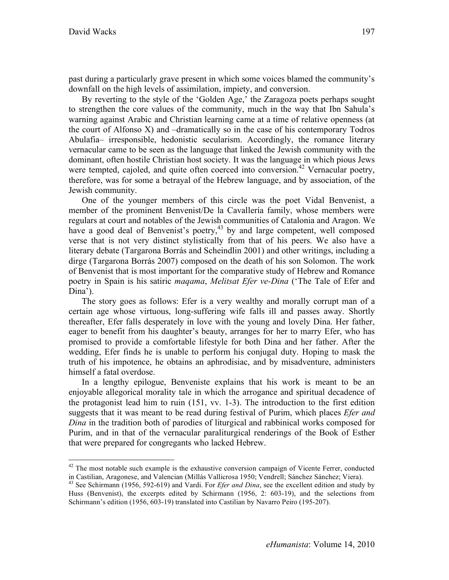past during a particularly grave present in which some voices blamed the community's downfall on the high levels of assimilation, impiety, and conversion.

By reverting to the style of the 'Golden Age,' the Zaragoza poets perhaps sought to strengthen the core values of the community, much in the way that Ibn Sahula's warning against Arabic and Christian learning came at a time of relative openness (at the court of Alfonso X) and –dramatically so in the case of his contemporary Todros Abulafia– irresponsible, hedonistic secularism. Accordingly, the romance literary vernacular came to be seen as the language that linked the Jewish community with the dominant, often hostile Christian host society. It was the language in which pious Jews were tempted, cajoled, and quite often coerced into conversion.<sup>42</sup> Vernacular poetry, therefore, was for some a betrayal of the Hebrew language, and by association, of the Jewish community.

One of the younger members of this circle was the poet Vidal Benvenist, a member of the prominent Benvenist/De la Cavallería family, whose members were regulars at court and notables of the Jewish communities of Catalonia and Aragon. We have a good deal of Benvenist's poetry,  $43$  by and large competent, well composed verse that is not very distinct stylistically from that of his peers. We also have a literary debate (Targarona Borrás and Scheindlin 2001) and other writings, including a dirge (Targarona Borrás 2007) composed on the death of his son Solomon. The work of Benvenist that is most important for the comparative study of Hebrew and Romance poetry in Spain is his satiric *maqama*, *Melitsat Efer ve-Dina* ('The Tale of Efer and Dina').

The story goes as follows: Efer is a very wealthy and morally corrupt man of a certain age whose virtuous, long-suffering wife falls ill and passes away. Shortly thereafter, Efer falls desperately in love with the young and lovely Dina. Her father, eager to benefit from his daughter's beauty, arranges for her to marry Efer, who has promised to provide a comfortable lifestyle for both Dina and her father. After the wedding, Efer finds he is unable to perform his conjugal duty. Hoping to mask the truth of his impotence, he obtains an aphrodisiac, and by misadventure, administers himself a fatal overdose.

In a lengthy epilogue, Benveniste explains that his work is meant to be an enjoyable allegorical morality tale in which the arrogance and spiritual decadence of the protagonist lead him to ruin (151, vv. 1-3). The introduction to the first edition suggests that it was meant to be read during festival of Purim, which places *Efer and Dina* in the tradition both of parodies of liturgical and rabbinical works composed for Purim, and in that of the vernacular paraliturgical renderings of the Book of Esther that were prepared for congregants who lacked Hebrew.

<sup>&</sup>lt;sup>42</sup> The most notable such example is the exhaustive conversion campaign of Vicente Ferrer, conducted in Castilian, Aragonese, and Valencian (Millás Vallicrosa 1950; Vendrell; Sánchez Sánchez; Viera).

<sup>43</sup> See Schirmann (1956, 592-619) and Vardi. For *Efer and Dina*, see the excellent edition and study by Huss (Benvenist), the excerpts edited by Schirmann (1956, 2: 603-19), and the selections from Schirmann's edition (1956, 603-19) translated into Castilian by Navarro Peiro (195-207).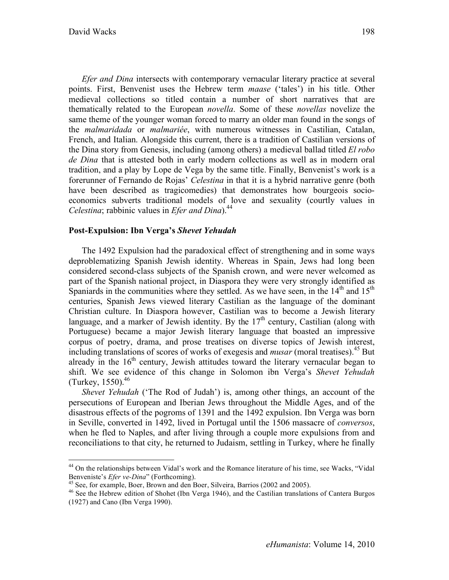*Efer and Dina* intersects with contemporary vernacular literary practice at several points. First, Benvenist uses the Hebrew term *maase* ('tales') in his title. Other medieval collections so titled contain a number of short narratives that are thematically related to the European *novella*. Some of these *novellas* novelize the same theme of the younger woman forced to marry an older man found in the songs of the *malmaridada* or *malmariée*, with numerous witnesses in Castilian, Catalan, French, and Italian. Alongside this current, there is a tradition of Castilian versions of the Dina story from Genesis, including (among others) a medieval ballad titled *El robo de Dina* that is attested both in early modern collections as well as in modern oral tradition, and a play by Lope de Vega by the same title. Finally, Benvenist's work is a forerunner of Fernando de Rojas' *Celestina* in that it is a hybrid narrative genre (both have been described as tragicomedies) that demonstrates how bourgeois socioeconomics subverts traditional models of love and sexuality (courtly values in *Celestina*; rabbinic values in *Efer and Dina*).<sup>44</sup>

## **Post-Expulsion: Ibn Verga's** *Shevet Yehudah*

The 1492 Expulsion had the paradoxical effect of strengthening and in some ways deproblematizing Spanish Jewish identity. Whereas in Spain, Jews had long been considered second-class subjects of the Spanish crown, and were never welcomed as part of the Spanish national project, in Diaspora they were very strongly identified as Spaniards in the communities where they settled. As we have seen, in the  $14<sup>th</sup>$  and  $15<sup>th</sup>$ centuries, Spanish Jews viewed literary Castilian as the language of the dominant Christian culture. In Diaspora however, Castilian was to become a Jewish literary language, and a marker of Jewish identity. By the  $17<sup>th</sup>$  century, Castilian (along with Portuguese) became a major Jewish literary language that boasted an impressive corpus of poetry, drama, and prose treatises on diverse topics of Jewish interest, including translations of scores of works of exegesis and *musar* (moral treatises).<sup>45</sup> But already in the  $16<sup>th</sup>$  century, Jewish attitudes toward the literary vernacular began to shift. We see evidence of this change in Solomon ibn Verga's *Shevet Yehudah* (Turkey,  $1550$ ).<sup>46</sup>

*Shevet Yehudah* ('The Rod of Judah') is, among other things, an account of the persecutions of European and Iberian Jews throughout the Middle Ages, and of the disastrous effects of the pogroms of 1391 and the 1492 expulsion. Ibn Verga was born in Seville, converted in 1492, lived in Portugal until the 1506 massacre of *conversos*, when he fled to Naples, and after living through a couple more expulsions from and reconciliations to that city, he returned to Judaism, settling in Turkey, where he finally

<sup>&</sup>lt;sup>44</sup> On the relationships between Vidal's work and the Romance literature of his time, see Wacks, "Vidal Benveniste's *Efer ve-Dina*" (Forthcoming).

<sup>&</sup>lt;sup>45</sup> See, for example, Boer, Brown and den Boer, Silveira, Barrios (2002 and 2005).<br><sup>46</sup> See the Hebrew edition of Shohet (Ibn Verga 1946), and the Castilian translations of Cantera Burgos (1927) and Cano (Ibn Verga 1990).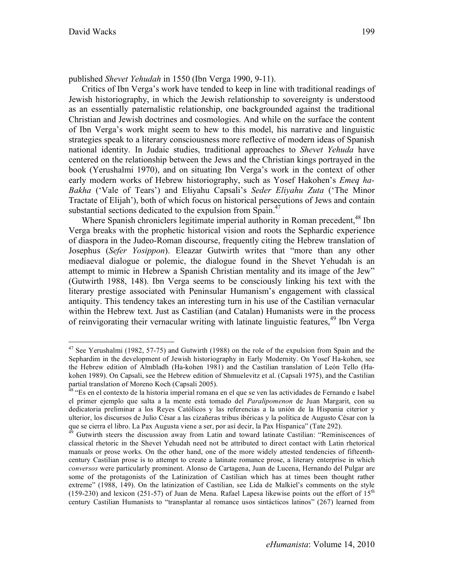published *Shevet Yehudah* in 1550 (Ibn Verga 1990, 9-11).

Critics of Ibn Verga's work have tended to keep in line with traditional readings of Jewish historiography, in which the Jewish relationship to sovereignty is understood as an essentially paternalistic relationship, one backgrounded against the traditional Christian and Jewish doctrines and cosmologies. And while on the surface the content of Ibn Verga's work might seem to hew to this model, his narrative and linguistic strategies speak to a literary consciousness more reflective of modern ideas of Spanish national identity. In Judaic studies, traditional approaches to *Shevet Yehuda* have centered on the relationship between the Jews and the Christian kings portrayed in the book (Yerushalmi 1970), and on situating Ibn Verga's work in the context of other early modern works of Hebrew historiography, such as Yosef Hakohen's *Emeq ha-Bakha* ('Vale of Tears') and Eliyahu Capsali's *Seder Eliyahu Zuta* ('The Minor Tractate of Elijah'), both of which focus on historical persecutions of Jews and contain substantial sections dedicated to the expulsion from Spain.<sup>47</sup>

Where Spanish chroniclers legitimate imperial authority in Roman precedent,<sup>48</sup> Ibn Verga breaks with the prophetic historical vision and roots the Sephardic experience of diaspora in the Judeo-Roman discourse, frequently citing the Hebrew translation of Josephus (*Sefer Yosippon*). Eleazar Gutwirth writes that "more than any other mediaeval dialogue or polemic, the dialogue found in the Shevet Yehudah is an attempt to mimic in Hebrew a Spanish Christian mentality and its image of the Jew" (Gutwirth 1988, 148). Ibn Verga seems to be consciously linking his text with the literary prestige associated with Peninsular Humanism's engagement with classical antiquity. This tendency takes an interesting turn in his use of the Castilian vernacular within the Hebrew text. Just as Castilian (and Catalan) Humanists were in the process of reinvigorating their vernacular writing with latinate linguistic features,<sup>49</sup> Ibn Verga

<sup>&</sup>lt;sup>47</sup> See Yerushalmi (1982, 57-75) and Gutwirth (1988) on the role of the expulsion from Spain and the Sephardim in the development of Jewish historiography in Early Modernity. On Yosef Ha-kohen, see the Hebrew edition of Almbladh (Ha-kohen 1981) and the Castilian translation of León Tello (Hakohen 1989). On Capsali, see the Hebrew edition of Shmuelevitz et al. (Capsali 1975), and the Castilian partial translation of Moreno Koch (Capsali 2005).

<sup>&</sup>lt;sup>48</sup> "Es en el contexto de la historia imperial romana en el que se ven las actividades de Fernando e Isabel el primer ejemplo que salta a la mente está tomado del *Paralipomenon* de Juan Margarit, con su dedicatoria preliminar a los Reyes Católicos y las referencias a la unión de la Hispania citerior y ulterior, los discursos de Julio César a las cizañeras tribus ibéricas y la política de Augusto César con la que se cierra el libro. La Pax Augusta viene a ser, por así decir, la Pax Hispanica" (Tate 292).<br><sup>49</sup> Gutwirth steers the discussion away from Latin and toward latinate Castilian: "Reminiscences of

classical rhetoric in the Shevet Yehudah need not be attributed to direct contact with Latin rhetorical manuals or prose works. On the other hand, one of the more widely attested tendencies of fifteenthcentury Castilian prose is to attempt to create a latinate romance prose, a literary enterprise in which *conversos* were particularly prominent. Alonso de Cartagena, Juan de Lucena, Hernando del Pulgar are some of the protagonists of the Latinization of Castilian which has at times been thought rather extreme" (1988, 149). On the latinization of Castilian, see Lida de Malkiel's comments on the style (159-230) and lexicon (251-57) of Juan de Mena. Rafael Lapesa likewise points out the effort of  $15<sup>th</sup>$ century Castilian Humanists to "transplantar al romance usos sintácticos latinos" (267) learned from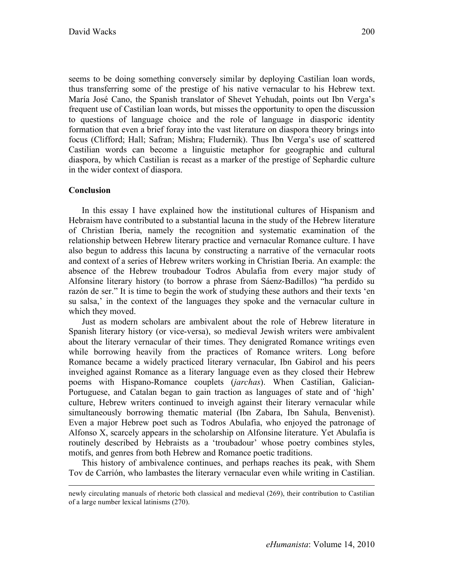seems to be doing something conversely similar by deploying Castilian loan words, thus transferring some of the prestige of his native vernacular to his Hebrew text. María José Cano, the Spanish translator of Shevet Yehudah, points out Ibn Verga's frequent use of Castilian loan words, but misses the opportunity to open the discussion to questions of language choice and the role of language in diasporic identity formation that even a brief foray into the vast literature on diaspora theory brings into focus (Clifford; Hall; Safran; Mishra; Fludernik). Thus Ibn Verga's use of scattered Castilian words can become a linguistic metaphor for geographic and cultural diaspora, by which Castilian is recast as a marker of the prestige of Sephardic culture in the wider context of diaspora.

## **Conclusion**

In this essay I have explained how the institutional cultures of Hispanism and Hebraism have contributed to a substantial lacuna in the study of the Hebrew literature of Christian Iberia, namely the recognition and systematic examination of the relationship between Hebrew literary practice and vernacular Romance culture. I have also begun to address this lacuna by constructing a narrative of the vernacular roots and context of a series of Hebrew writers working in Christian Iberia. An example: the absence of the Hebrew troubadour Todros Abulafia from every major study of Alfonsine literary history (to borrow a phrase from Sáenz-Badillos) "ha perdido su razón de ser." It is time to begin the work of studying these authors and their texts 'en su salsa,' in the context of the languages they spoke and the vernacular culture in which they moved.

Just as modern scholars are ambivalent about the role of Hebrew literature in Spanish literary history (or vice-versa), so medieval Jewish writers were ambivalent about the literary vernacular of their times. They denigrated Romance writings even while borrowing heavily from the practices of Romance writers. Long before Romance became a widely practiced literary vernacular, Ibn Gabirol and his peers inveighed against Romance as a literary language even as they closed their Hebrew poems with Hispano-Romance couplets (*jarchas*). When Castilian, Galician-Portuguese, and Catalan began to gain traction as languages of state and of 'high' culture, Hebrew writers continued to inveigh against their literary vernacular while simultaneously borrowing thematic material (Ibn Zabara, Ibn Sahula, Benvenist). Even a major Hebrew poet such as Todros Abulafia, who enjoyed the patronage of Alfonso X, scarcely appears in the scholarship on Alfonsine literature. Yet Abulafia is routinely described by Hebraists as a 'troubadour' whose poetry combines styles, motifs, and genres from both Hebrew and Romance poetic traditions.

This history of ambivalence continues, and perhaps reaches its peak, with Shem Tov de Carrión, who lambastes the literary vernacular even while writing in Castilian.

newly circulating manuals of rhetoric both classical and medieval (269), their contribution to Castilian of a large number lexical latinisms (270).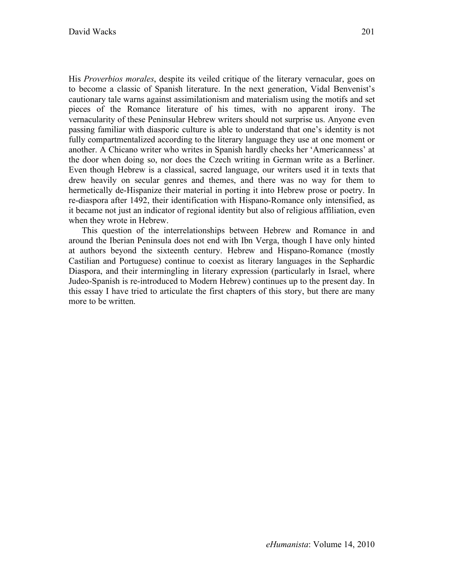His *Proverbios morales*, despite its veiled critique of the literary vernacular, goes on to become a classic of Spanish literature. In the next generation, Vidal Benvenist's cautionary tale warns against assimilationism and materialism using the motifs and set pieces of the Romance literature of his times, with no apparent irony. The vernacularity of these Peninsular Hebrew writers should not surprise us. Anyone even passing familiar with diasporic culture is able to understand that one's identity is not fully compartmentalized according to the literary language they use at one moment or another. A Chicano writer who writes in Spanish hardly checks her 'Americanness' at the door when doing so, nor does the Czech writing in German write as a Berliner. Even though Hebrew is a classical, sacred language, our writers used it in texts that drew heavily on secular genres and themes, and there was no way for them to hermetically de-Hispanize their material in porting it into Hebrew prose or poetry. In re-diaspora after 1492, their identification with Hispano-Romance only intensified, as it became not just an indicator of regional identity but also of religious affiliation, even when they wrote in Hebrew.

This question of the interrelationships between Hebrew and Romance in and around the Iberian Peninsula does not end with Ibn Verga, though I have only hinted at authors beyond the sixteenth century. Hebrew and Hispano-Romance (mostly Castilian and Portuguese) continue to coexist as literary languages in the Sephardic Diaspora, and their intermingling in literary expression (particularly in Israel, where Judeo-Spanish is re-introduced to Modern Hebrew) continues up to the present day. In this essay I have tried to articulate the first chapters of this story, but there are many more to be written.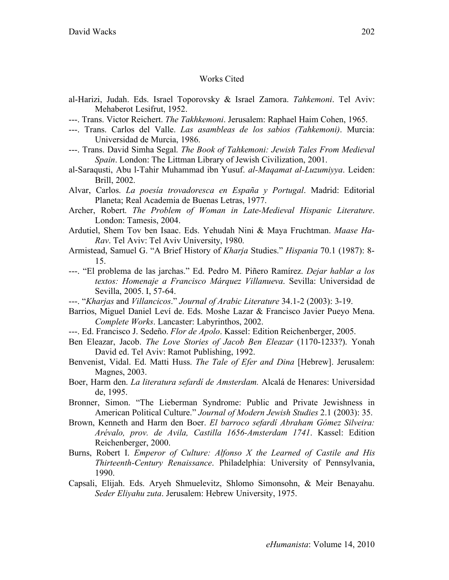## Works Cited

- al-Harizi, Judah. Eds. Israel Toporovsky & Israel Zamora. *Tahkemoni*. Tel Aviv: Mehaberot Lesifrut, 1952.
- ---. Trans. Victor Reichert. *The Takhkemoni*. Jerusalem: Raphael Haim Cohen, 1965.
- ---. Trans. Carlos del Valle. *Las asambleas de los sabios (Tahkemoni)*. Murcia: Universidad de Murcia, 1986.
- ---. Trans. David Simha Segal. *The Book of Tahkemoni: Jewish Tales From Medieval Spain*. London: The Littman Library of Jewish Civilization, 2001.
- al-Saraqusti, Abu l-Tahir Muhammad ibn Yusuf. *al-Maqamat al-Luzumiyya*. Leiden: Brill, 2002.
- Alvar, Carlos. *La poesía trovadoresca en España y Portugal*. Madrid: Editorial Planeta; Real Academia de Buenas Letras, 1977.
- Archer, Robert. *The Problem of Woman in Late-Medieval Hispanic Literature*. London: Tamesis, 2004.
- Ardutiel, Shem Tov ben Isaac. Eds. Yehudah Nini & Maya Fruchtman. *Maase Ha-Rav*. Tel Aviv: Tel Aviv University, 1980.
- Armistead, Samuel G. "A Brief History of *Kharja* Studies." *Hispania* 70.1 (1987): 8- 15.
- ---. "El problema de las jarchas." Ed. Pedro M. Piñero Ramírez. *Dejar hablar a los textos: Homenaje a Francisco Márquez Villanueva*. Sevilla: Universidad de Sevilla, 2005. I, 57-64.
- ---. "*Kharjas* and *Villancicos*." *Journal of Arabic Literature* 34.1-2 (2003): 3-19.
- Barrios, Miguel Daniel Leví de. Eds. Moshe Lazar & Francisco Javier Pueyo Mena. *Complete Works*. Lancaster: Labyrinthos, 2002.
- ---. Ed. Francisco J. Sedeño. *Flor de Apolo*. Kassel: Edition Reichenberger, 2005.
- Ben Eleazar, Jacob. *The Love Stories of Jacob Ben Eleazar* (1170-1233?). Yonah David ed. Tel Aviv: Ramot Publishing, 1992.
- Benvenist, Vidal. Ed. Matti Huss. *The Tale of Efer and Dina* [Hebrew]. Jerusalem: Magnes, 2003.
- Boer, Harm den. *La literatura sefardí de Amsterdam.* Alcalá de Henares: Universidad de, 1995.
- Bronner, Simon. "The Lieberman Syndrome: Public and Private Jewishness in American Political Culture." *Journal of Modern Jewish Studies* 2.1 (2003): 35.
- Brown, Kenneth and Harm den Boer. *El barroco sefardí Abraham Gómez Silveira: Arévalo, prov. de Avila, Castilla 1656-Amsterdam 1741*. Kassel: Edition Reichenberger, 2000.
- Burns, Robert I. *Emperor of Culture: Alfonso X the Learned of Castile and His Thirteenth-Century Renaissance*. Philadelphia: University of Pennsylvania, 1990.
- Capsali, Elijah. Eds. Aryeh Shmuelevitz, Shlomo Simonsohn, & Meir Benayahu. *Seder Eliyahu zuta*. Jerusalem: Hebrew University, 1975.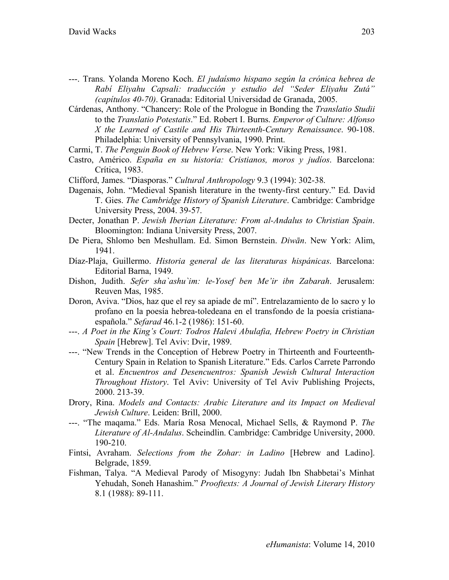- ---. Trans. Yolanda Moreno Koch. *El judaísmo hispano según la crónica hebrea de Rabí Eliyahu Capsali: traducción y estudio del "Seder Eliyahu Zutá" (capítulos 40-70)*. Granada: Editorial Universidad de Granada, 2005.
- Cárdenas, Anthony. "Chancery: Role of the Prologue in Bonding the *Translatio Studii* to the *Translatio Potestatis*." Ed. Robert I. Burns. *Emperor of Culture: Alfonso X the Learned of Castile and His Thirteenth-Century Renaissance*. 90-108. Philadelphia: University of Pennsylvania, 1990. Print.
- Carmi, T. *The Penguin Book of Hebrew Verse*. New York: Viking Press, 1981.
- Castro, Américo. *España en su historia: Cristianos, moros y judíos*. Barcelona: Crítica, 1983.
- Clifford, James. "Diasporas." *Cultural Anthropology* 9.3 (1994): 302-38.
- Dagenais, John. "Medieval Spanish literature in the twenty-first century." Ed. David T. Gies. *The Cambridge History of Spanish Literature*. Cambridge: Cambridge University Press, 2004. 39-57.
- Decter, Jonathan P. *Jewish Iberian Literature: From al-Andalus to Christian Spain*. Bloomington: Indiana University Press, 2007.
- De Piera, Shlomo ben Meshullam. Ed. Simon Bernstein. *Diwān*. New York: Alim, 1941.
- Díaz-Plaja, Guillermo. *Historia general de las literaturas hispánicas*. Barcelona: Editorial Barna, 1949.
- Dishon, Judith. *Sefer sha`ashu`im: le-Yosef ben Me'ir ibn Zabarah*. Jerusalem: Reuven Mas, 1985.
- Doron, Aviva. "Dios, haz que el rey sa apiade de mí". Entrelazamiento de lo sacro y lo profano en la poesía hebrea-toledeana en el transfondo de la poesía cristianaespañola." *Sefarad* 46.1-2 (1986): 151-60.
- ---. *A Poet in the King's Court: Todros Halevi Abulafia, Hebrew Poetry in Christian Spain* [Hebrew]. Tel Aviv: Dvir, 1989.
- ---. "New Trends in the Conception of Hebrew Poetry in Thirteenth and Fourteenth-Century Spain in Relation to Spanish Literature." Eds. Carlos Carrete Parrondo et al. *Encuentros and Desencuentros: Spanish Jewish Cultural Interaction Throughout History*. Tel Aviv: University of Tel Aviv Publishing Projects, 2000. 213-39.
- Drory, Rina. *Models and Contacts: Arabic Literature and its Impact on Medieval Jewish Culture*. Leiden: Brill, 2000.
- ---. "The maqama." Eds. María Rosa Menocal, Michael Sells, & Raymond P. *The Literature of Al-Andalus*. Scheindlin. Cambridge: Cambridge University, 2000. 190-210.
- Fintsi, Avraham. *Selections from the Zohar: in Ladino* [Hebrew and Ladino]. Belgrade, 1859.
- Fishman, Talya. "A Medieval Parody of Misogyny: Judah Ibn Shabbetai's Minhat Yehudah, Soneh Hanashim." *Prooftexts: A Journal of Jewish Literary History* 8.1 (1988): 89-111.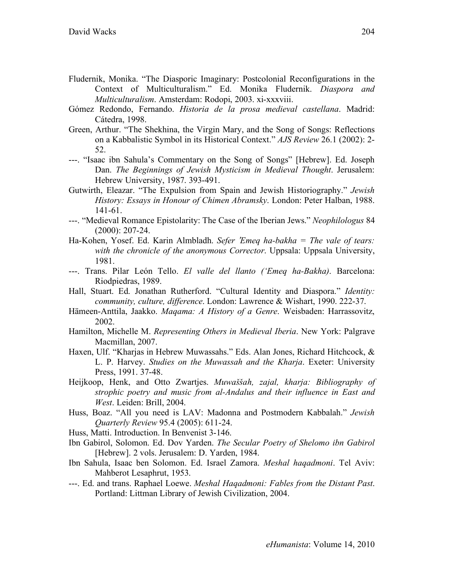- Fludernik, Monika. "The Diasporic Imaginary: Postcolonial Reconfigurations in the Context of Multiculturalism." Ed. Monika Fludernik. *Diaspora and Multiculturalism*. Amsterdam: Rodopi, 2003. xi-xxxviii.
- Gómez Redondo, Fernando. *Historia de la prosa medieval castellana*. Madrid: Cátedra, 1998.
- Green, Arthur. "The Shekhina, the Virgin Mary, and the Song of Songs: Reflections on a Kabbalistic Symbol in its Historical Context." *AJS Review* 26.1 (2002): 2- 52.
- ---. "Isaac ibn Sahula's Commentary on the Song of Songs" [Hebrew]. Ed. Joseph Dan. *The Beginnings of Jewish Mysticism in Medieval Thought*. Jerusalem: Hebrew University, 1987. 393-491.
- Gutwirth, Eleazar. "The Expulsion from Spain and Jewish Historiography." *Jewish History: Essays in Honour of Chimen Abramsky*. London: Peter Halban, 1988. 141-61.
- ---. "Medieval Romance Epistolarity: The Case of the Iberian Jews." *Neophilologus* 84 (2000): 207-24.
- Ha-Kohen, Yosef. Ed. Karin Almbladh. *Sefer* '*Emeq ha-bakha = The vale of tears: with the chronicle of the anonymous Corrector*. Uppsala: Uppsala University, 1981.
- ---. Trans. Pilar León Tello. *El valle del llanto ('Emeq ha-Bakha)*. Barcelona: Riodpiedras, 1989.
- Hall, Stuart. Ed. Jonathan Rutherford. "Cultural Identity and Diaspora." *Identity: community, culture, difference*. London: Lawrence & Wishart, 1990. 222-37.
- Hämeen-Anttila, Jaakko. *Maqama: A History of a Genre*. Weisbaden: Harrassovitz, 2002.
- Hamilton, Michelle M. *Representing Others in Medieval Iberia*. New York: Palgrave Macmillan, 2007.
- Haxen, Ulf. "Kharjas in Hebrew Muwassahs." Eds. Alan Jones, Richard Hitchcock, & L. P. Harvey. *Studies on the Muwassah and the Kharja*. Exeter: University Press, 1991. 37-48.
- Heijkoop, Henk, and Otto Zwartjes. *Muwaššah, zajal, kharja: Bibliography of strophic poetry and music from al-Andalus and their influence in East and West*. Leiden: Brill, 2004.
- Huss, Boaz. "All you need is LAV: Madonna and Postmodern Kabbalah." *Jewish Quarterly Review* 95.4 (2005): 611-24.

Huss, Matti. Introduction. In Benvenist 3-146.

- Ibn Gabirol, Solomon. Ed. Dov Yarden. *The Secular Poetry of Shelomo ibn Gabirol*  [Hebrew]. 2 vols. Jerusalem: D. Yarden, 1984.
- Ibn Sahula, Isaac ben Solomon. Ed. Israel Zamora. *Meshal haqadmoni*. Tel Aviv: Mahberot Lesaphrut, 1953.
- ---. Ed. and trans. Raphael Loewe. *Meshal Haqadmoni: Fables from the Distant Past*. Portland: Littman Library of Jewish Civilization, 2004.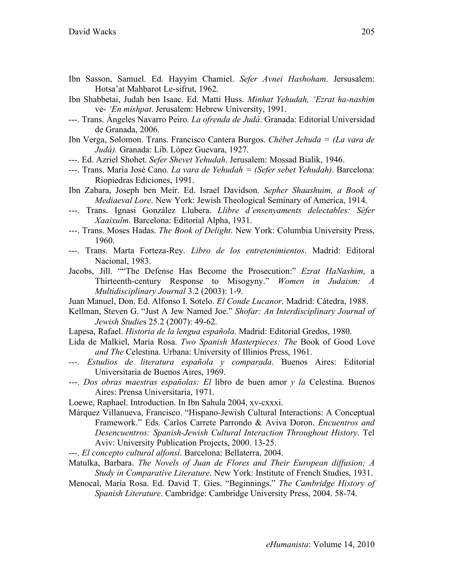- Ibn Sasson, Samuel. Ed. Hayyim Chamiel. *Sefer Avnei Hashoham*. Jersusalem: Hotsa'at Mahbarot Le-sifrut, 1962.
- Ibn Shabbetai, Judah ben Isaac. Ed. Matti Huss. *Minhat Yehudah, 'Ezrat ha-nashim*  ve- *'En mishpat*. Jerusalem: Hebrew University, 1991.
- ---. Trans. Ángeles Navarro Peiro. *La ofrenda de Judá*. Granada: Editorial Universidad de Granada, 2006.
- Ibn Verga, Solomon. Trans. Francisco Cantera Burgos. *Chébet Jehuda = (La vara de Judá).* Granada: Lib. López Guevara, 1927.
- ---. Ed. Azriel Shohet. *Sefer Shevet Yehudah*. Jerusalem: Mossad Bialik, 1946.
- ---. Trans. María José Cano. *La vara de Yehudah = (Sefer sebet Yehudah)*. Barcelona: Riopiedras Ediciones, 1991.
- Ibn Zabara, Joseph ben Meir. Ed. Israel Davidson. *Sepher Shaashuim, a Book of Mediaeval Lore*. New York: Jewish Theological Seminary of America, 1914.
- ---. Trans. Ignasi González Llubera. *Llibre d'ensenyaments delectables: Sèfer Xaaixuïm*. Barcelona: Editorial Alpha, 1931.
- ---. Trans. Moses Hadas. *The Book of Delight*. New York: Columbia University Press, 1960.
- ---. Trans. Marta Forteza-Rey. *Libro de los entretenimientos*. Madrid: Editoral Nacional, 1983.
- Jacobs, Jill. ""The Defense Has Become the Prosecution:" *Ezrat HaNashim*, a Thirteenth-century Response to Misogyny." *Women in Judaism: A Multidisciplinary Journal* 3.2 (2003): 1-9.
- Juan Manuel, Don. Ed. Alfonso I. Sotelo. *El Conde Lucanor*. Madrid: Cátedra, 1988.
- Kellman, Steven G. "Just A Jew Named Joe." *Shofar: An Interdisciplinary Journal of Jewish Studie*s 25.2 (2007): 49-62.
- Lapesa, Rafael. *Historia de la lengua española*. Madrid: Editorial Gredos, 1980.
- Lida de Malkiel, María Rosa. *Two Spanish Masterpieces: The* Book of Good Love *and The* Celestina. Urbana: University of Illinios Press, 1961.
- *---. Estudios de literatura española y comparada*. Buenos Aires: Editorial Universitaria de Buenos Aires, 1969.
- ---. *Dos obras maestras españolas: El* libro de buen amor *y la* Celestina. Buenos Aires: Prensa Universitaria, 1971.
- Loewe, Raphael. Introduction. In Ibn Sahula 2004, xv-cxxxi.
- Márquez Villanueva, Francisco. "Hispano-Jewish Cultural Interactions: A Conceptual Framework." Eds. Carlos Carrete Parrondo & Aviva Doron. *Encuentros and Desencuentros: Spanish-Jewish Cultural Interaction Throughout History*. Tel Aviv: University Publication Projects, 2000. 13-25.
- ---. *El concepto cultural alfonsí*. Barcelona: Bellaterra, 2004.
- Matulka, Barbara. *The Novels of Juan de Flores and Their European diffusion; A Study in Comparative Literature*. New York: Institute of French Studies, 1931.
- Menocal, María Rosa. Ed. David T. Gies. "Beginnings." *The Cambridge History of Spanish Literature*. Cambridge: Cambridge University Press, 2004. 58-74.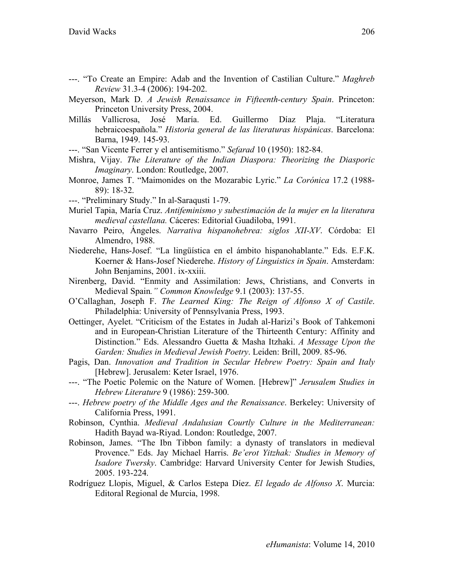- ---. "To Create an Empire: Adab and the Invention of Castilian Culture." *Maghreb Review* 31.3-4 (2006): 194-202.
- Meyerson, Mark D. *A Jewish Renaissance in Fifteenth-century Spain*. Princeton: Princeton University Press, 2004.
- Millás Vallicrosa, José María. Ed. Guillermo Díaz Plaja. "Literatura hebraicoespañola." *Historia general de las literaturas hispánicas*. Barcelona: Barna, 1949. 145-93.
- ---. "San Vicente Ferrer y el antisemitismo." *Sefarad* 10 (1950): 182-84.
- Mishra, Vijay. *The Literature of the Indian Diaspora: Theorizing the Diasporic Imaginary*. London: Routledge, 2007.
- Monroe, James T. "Maimonides on the Mozarabic Lyric." *La Corónica* 17.2 (1988- 89): 18-32.
- ---. "Preliminary Study." In al-Saraqusti 1-79.
- Muriel Tapia, María Cruz. *Antifeminismo y subestimación de la mujer en la literatura medieval castellana.* Cáceres: Editorial Guadiloba, 1991.
- Navarro Peiro, Ángeles. *Narrativa hispanohebrea: siglos XII-XV*. Córdoba: El Almendro, 1988.
- Niederehe, Hans-Josef. "La lingüística en el ámbito hispanohablante." Eds. E.F.K. Koerner & Hans-Josef Niederehe. *History of Linguistics in Spain*. Amsterdam: John Benjamins, 2001. ix-xxiii.
- Nirenberg, David. "Enmity and Assimilation: Jews, Christians, and Converts in Medieval Spain*." Common Knowledge* 9.1 (2003): 137-55.
- O'Callaghan, Joseph F. *The Learned King: The Reign of Alfonso X of Castile*. Philadelphia: University of Pennsylvania Press, 1993.
- Oettinger, Ayelet. "Criticism of the Estates in Judah al-Harizi's Book of Tahkemoni and in European-Christian Literature of the Thirteenth Century: Affinity and Distinction." Eds. Alessandro Guetta & Masha Itzhaki. *A Message Upon the Garden: Studies in Medieval Jewish Poetry*. Leiden: Brill, 2009. 85-96.
- Pagis, Dan. *Innovation and Tradition in Secular Hebrew Poetry: Spain and Italy* [Hebrew]. Jerusalem: Keter Israel, 1976.
- ---. "The Poetic Polemic on the Nature of Women. [Hebrew]" *Jerusalem Studies in Hebrew Literature* 9 (1986): 259-300.
- ---. *Hebrew poetry of the Middle Ages and the Renaissance*. Berkeley: University of California Press, 1991.
- Robinson, Cynthia. *Medieval Andalusian Courtly Culture in the Mediterranean:*  Hadith Bayad wa-Riyad. London: Routledge, 2007.
- Robinson, James. "The Ibn Tibbon family: a dynasty of translators in medieval Provence." Eds. Jay Michael Harris. *Be'erot Yitzhak: Studies in Memory of Isadore Twersky*. Cambridge: Harvard University Center for Jewish Studies, 2005. 193-224.
- Rodríguez Llopis, Miguel, & Carlos Estepa Díez. *El legado de Alfonso X*. Murcia: Editoral Regional de Murcia, 1998.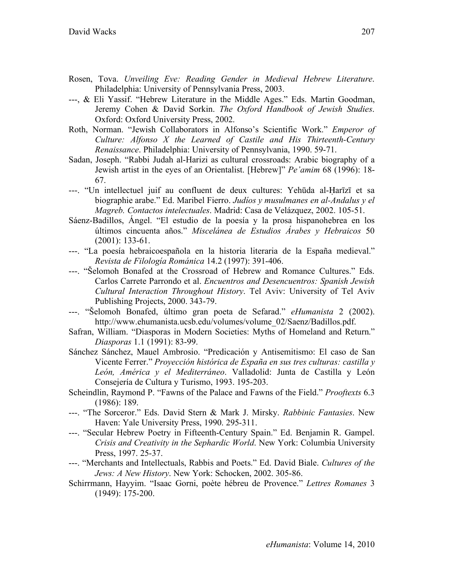- Rosen, Tova. *Unveiling Eve: Reading Gender in Medieval Hebrew Literature*. Philadelphia: University of Pennsylvania Press, 2003.
- ---, & Eli Yassif. "Hebrew Literature in the Middle Ages." Eds. Martin Goodman, Jeremy Cohen & David Sorkin. *The Oxford Handbook of Jewish Studies*. Oxford: Oxford University Press, 2002.
- Roth, Norman. "Jewish Collaborators in Alfonso's Scientific Work." *Emperor of Culture: Alfonso X the Learned of Castile and His Thirteenth-Century Renaissance*. Philadelphia: University of Pennsylvania, 1990. 59-71.
- Sadan, Joseph. "Rabbi Judah al-Harizi as cultural crossroads: Arabic biography of a Jewish artist in the eyes of an Orientalist. [Hebrew]" *Pe'amim* 68 (1996): 18- 67.
- ---. "Un intellectuel juif au confluent de deux cultures: Yehūda al-Ḥarīzī et sa biographie arabe." Ed. Maribel Fierro. *Judíos y musulmanes en al-Andalus y el Magreb. Contactos intelectuales*. Madrid: Casa de Velázquez, 2002. 105-51.
- Sáenz-Badillos, Ángel. "El estudio de la poesía y la prosa hispanohebrea en los últimos cincuenta años." *Miscelánea de Estudios Árabes y Hebraicos* 50 (2001): 133-61.
- ---. "La poesía hebraicoespañola en la historia literaria de la España medieval." *Revista de Filología Románica* 14.2 (1997): 391-406.
- ---. "Šelomoh Bonafed at the Crossroad of Hebrew and Romance Cultures." Eds. Carlos Carrete Parrondo et al. *Encuentros and Desencuentros: Spanish Jewish Cultural Interaction Throughout History*. Tel Aviv: University of Tel Aviv Publishing Projects, 2000. 343-79.
- ---. "Šelomoh Bonafed, último gran poeta de Sefarad." *eHumanista* 2 (2002). http://www.ehumanista.ucsb.edu/volumes/volume\_02/Saenz/Badillos.pdf.
- Safran, William. "Diasporas in Modern Societies: Myths of Homeland and Return." *Diasporas* 1.1 (1991): 83-99.
- Sánchez Sánchez, Mauel Ambrosio. "Predicación y Antisemitismo: El caso de San Vicente Ferrer." *Proyección histórica de España en sus tres culturas: castilla y León, América y el Mediterráneo*. Valladolid: Junta de Castilla y León Consejería de Cultura y Turismo, 1993. 195-203.
- Scheindlin, Raymond P. "Fawns of the Palace and Fawns of the Field." *Prooftexts* 6.3 (1986): 189.
- ---. "The Sorceror." Eds. David Stern & Mark J. Mirsky. *Rabbinic Fantasies*. New Haven: Yale University Press, 1990. 295-311.
- ---. "Secular Hebrew Poetry in Fifteenth-Century Spain." Ed. Benjamin R. Gampel. *Crisis and Creativity in the Sephardic World*. New York: Columbia University Press, 1997. 25-37.
- ---. "Merchants and Intellectuals, Rabbis and Poets." Ed. David Biale. *Cultures of the Jews: A New History*. New York: Schocken, 2002. 305-86.
- Schirrmann, Hayyim. "Isaac Gorni, poète hébreu de Provence." *Lettres Romanes* 3 (1949): 175-200.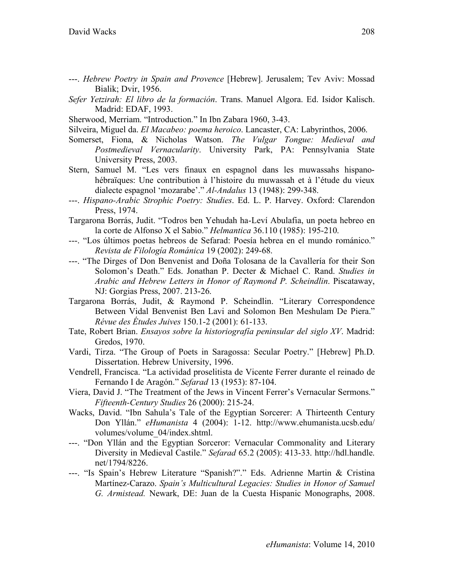- ---. *Hebrew Poetry in Spain and Provence* [Hebrew]. Jerusalem; Tev Aviv: Mossad Bialik; Dvir, 1956.
- *Sefer Yetzirah: El libro de la formación*. Trans. Manuel Algora. Ed. Isidor Kalisch. Madrid: EDAF, 1993.
- Sherwood, Merriam. "Introduction." In Ibn Zabara 1960, 3-43.
- Silveira, Miguel da. *El Macabeo: poema heroico*. Lancaster, CA: Labyrinthos, 2006.
- Somerset, Fiona, & Nicholas Watson. *The Vulgar Tongue: Medieval and Postmedieval Vernacularity*. University Park, PA: Pennsylvania State University Press, 2003.
- Stern, Samuel M. "Les vers finaux en espagnol dans les muwassahs hispanohébraïques: Une contribution à l'histoire du muwassah et à l'étude du vieux dialecte espagnol 'mozarabe'." *Al-Andalus* 13 (1948): 299-348.
- ---. *Hispano-Arabic Strophic Poetry: Studies*. Ed. L. P. Harvey. Oxford: Clarendon Press, 1974.
- Targarona Borrás, Judit. "Todros ben Yehudah ha-Leví Abulafia, un poeta hebreo en la corte de Alfonso X el Sabio." *Helmantica* 36.110 (1985): 195-210.
- ---. "Los últimos poetas hebreos de Sefarad: Poesía hebrea en el mundo románico." *Revista de Filología Románica* 19 (2002): 249-68.
- ---. "The Dirges of Don Benvenist and Doña Tolosana de la Cavallería for their Son Solomon's Death." Eds. Jonathan P. Decter & Michael C. Rand. *Studies in Arabic and Hebrew Letters in Honor of Raymond P. Scheindlin*. Piscataway, NJ: Gorgias Press, 2007. 213-26.
- Targarona Borrás, Judit, & Raymond P. Scheindlin. "Literary Correspondence Between Vidal Benvenist Ben Lavi and Solomon Ben Meshulam De Piera." *Révue des Études Juives* 150.1-2 (2001): 61-133.
- Tate, Robert Brian. *Ensayos sobre la historiografía peninsular del siglo XV*. Madrid: Gredos, 1970.
- Vardi, Tirza. "The Group of Poets in Saragossa: Secular Poetry." [Hebrew] Ph.D. Dissertation. Hebrew University, 1996.
- Vendrell, Francisca. "La actividad proselitista de Vicente Ferrer durante el reinado de Fernando I de Aragón." *Sefarad* 13 (1953): 87-104.
- Viera, David J. "The Treatment of the Jews in Vincent Ferrer's Vernacular Sermons." *Fifteenth-Century Studies* 26 (2000): 215-24.
- Wacks, David. "Ibn Sahula's Tale of the Egyptian Sorcerer: A Thirteenth Century Don Yllán." *eHumanista* 4 (2004): 1-12. http://www.ehumanista.ucsb.edu/ volumes/volume\_04/index.shtml.
- ---. "Don Yllán and the Egyptian Sorceror: Vernacular Commonality and Literary Diversity in Medieval Castile." *Sefarad* 65.2 (2005): 413-33. http://hdl.handle. net/1794/8226.
- ---. "Is Spain's Hebrew Literature "Spanish?"." Eds. Adrienne Martin & Cristina Martínez-Carazo. *Spain's Multicultural Legacies: Studies in Honor of Samuel G. Armistead.* Newark, DE: Juan de la Cuesta Hispanic Monographs, 2008.